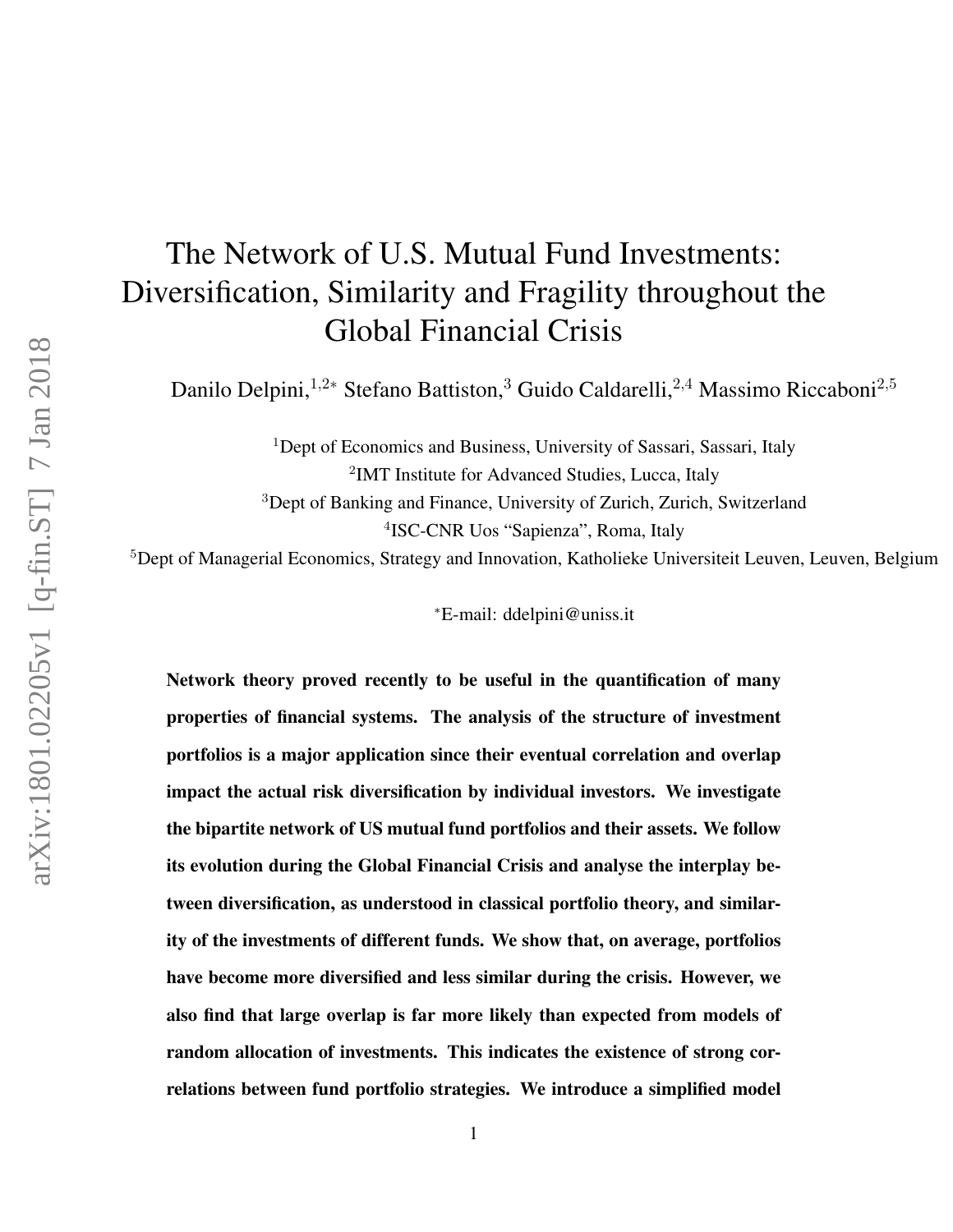# The Network of U.S. Mutual Fund Investments: Diversification, Similarity and Fragility throughout the Global Financial Crisis

Danilo Delpini,<sup>1,2∗</sup> Stefano Battiston,<sup>3</sup> Guido Caldarelli,<sup>2,4</sup> Massimo Riccaboni<sup>2,5</sup>

<sup>1</sup>Dept of Economics and Business, University of Sassari, Sassari, Italy <sup>2</sup>IMT Institute for Advanced Studies, Lucca, Italy <sup>3</sup>Dept of Banking and Finance, University of Zurich, Zurich, Switzerland 4 ISC-CNR Uos "Sapienza", Roma, Italy

<sup>5</sup>Dept of Managerial Economics, Strategy and Innovation, Katholieke Universiteit Leuven, Leuven, Belgium

<sup>∗</sup>E-mail: ddelpini@uniss.it

Network theory proved recently to be useful in the quantification of many properties of financial systems. The analysis of the structure of investment portfolios is a major application since their eventual correlation and overlap impact the actual risk diversification by individual investors. We investigate the bipartite network of US mutual fund portfolios and their assets. We follow its evolution during the Global Financial Crisis and analyse the interplay between diversification, as understood in classical portfolio theory, and similarity of the investments of different funds. We show that, on average, portfolios have become more diversified and less similar during the crisis. However, we also find that large overlap is far more likely than expected from models of random allocation of investments. This indicates the existence of strong correlations between fund portfolio strategies. We introduce a simplified model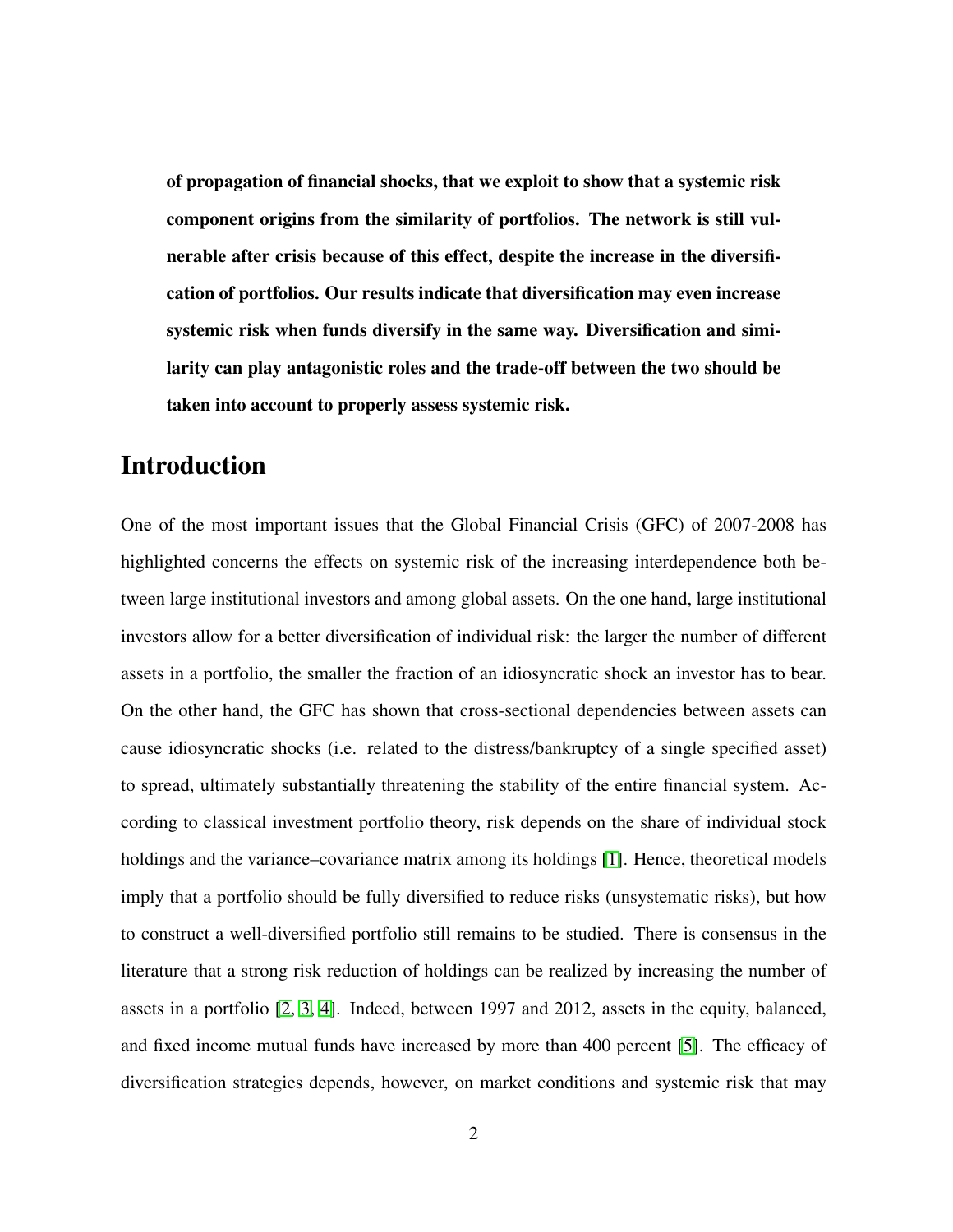of propagation of financial shocks, that we exploit to show that a systemic risk component origins from the similarity of portfolios. The network is still vulnerable after crisis because of this effect, despite the increase in the diversification of portfolios. Our results indicate that diversification may even increase systemic risk when funds diversify in the same way. Diversification and similarity can play antagonistic roles and the trade-off between the two should be taken into account to properly assess systemic risk.

### Introduction

One of the most important issues that the Global Financial Crisis (GFC) of 2007-2008 has highlighted concerns the effects on systemic risk of the increasing interdependence both between large institutional investors and among global assets. On the one hand, large institutional investors allow for a better diversification of individual risk: the larger the number of different assets in a portfolio, the smaller the fraction of an idiosyncratic shock an investor has to bear. On the other hand, the GFC has shown that cross-sectional dependencies between assets can cause idiosyncratic shocks (i.e. related to the distress/bankruptcy of a single specified asset) to spread, ultimately substantially threatening the stability of the entire financial system. According to classical investment portfolio theory, risk depends on the share of individual stock holdings and the variance–covariance matrix among its holdings [\[1\]](#page-23-0). Hence, theoretical models imply that a portfolio should be fully diversified to reduce risks (unsystematic risks), but how to construct a well-diversified portfolio still remains to be studied. There is consensus in the literature that a strong risk reduction of holdings can be realized by increasing the number of assets in a portfolio [\[2,](#page-23-1) [3,](#page-23-2) [4\]](#page-23-3). Indeed, between 1997 and 2012, assets in the equity, balanced, and fixed income mutual funds have increased by more than 400 percent [\[5\]](#page-23-4). The efficacy of diversification strategies depends, however, on market conditions and systemic risk that may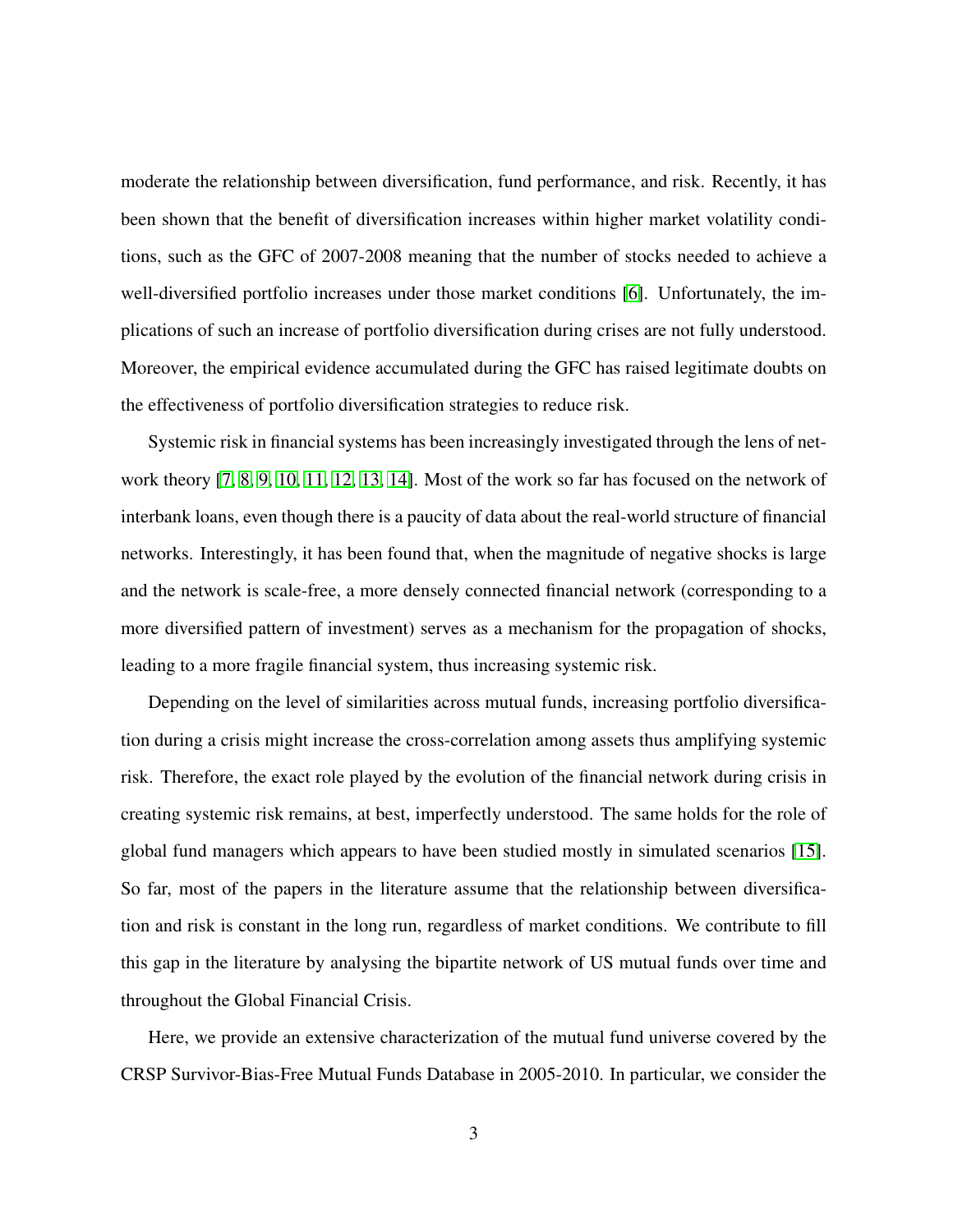moderate the relationship between diversification, fund performance, and risk. Recently, it has been shown that the benefit of diversification increases within higher market volatility conditions, such as the GFC of 2007-2008 meaning that the number of stocks needed to achieve a well-diversified portfolio increases under those market conditions [\[6\]](#page-23-5). Unfortunately, the implications of such an increase of portfolio diversification during crises are not fully understood. Moreover, the empirical evidence accumulated during the GFC has raised legitimate doubts on the effectiveness of portfolio diversification strategies to reduce risk.

Systemic risk in financial systems has been increasingly investigated through the lens of network theory [\[7,](#page-23-6) [8,](#page-23-7) [9,](#page-23-8) [10,](#page-23-9) [11,](#page-23-10) [12,](#page-23-11) [13,](#page-23-12) [14\]](#page-24-0). Most of the work so far has focused on the network of interbank loans, even though there is a paucity of data about the real-world structure of financial networks. Interestingly, it has been found that, when the magnitude of negative shocks is large and the network is scale-free, a more densely connected financial network (corresponding to a more diversified pattern of investment) serves as a mechanism for the propagation of shocks, leading to a more fragile financial system, thus increasing systemic risk.

Depending on the level of similarities across mutual funds, increasing portfolio diversification during a crisis might increase the cross-correlation among assets thus amplifying systemic risk. Therefore, the exact role played by the evolution of the financial network during crisis in creating systemic risk remains, at best, imperfectly understood. The same holds for the role of global fund managers which appears to have been studied mostly in simulated scenarios [\[15\]](#page-24-1). So far, most of the papers in the literature assume that the relationship between diversification and risk is constant in the long run, regardless of market conditions. We contribute to fill this gap in the literature by analysing the bipartite network of US mutual funds over time and throughout the Global Financial Crisis.

Here, we provide an extensive characterization of the mutual fund universe covered by the CRSP Survivor-Bias-Free Mutual Funds Database in 2005-2010. In particular, we consider the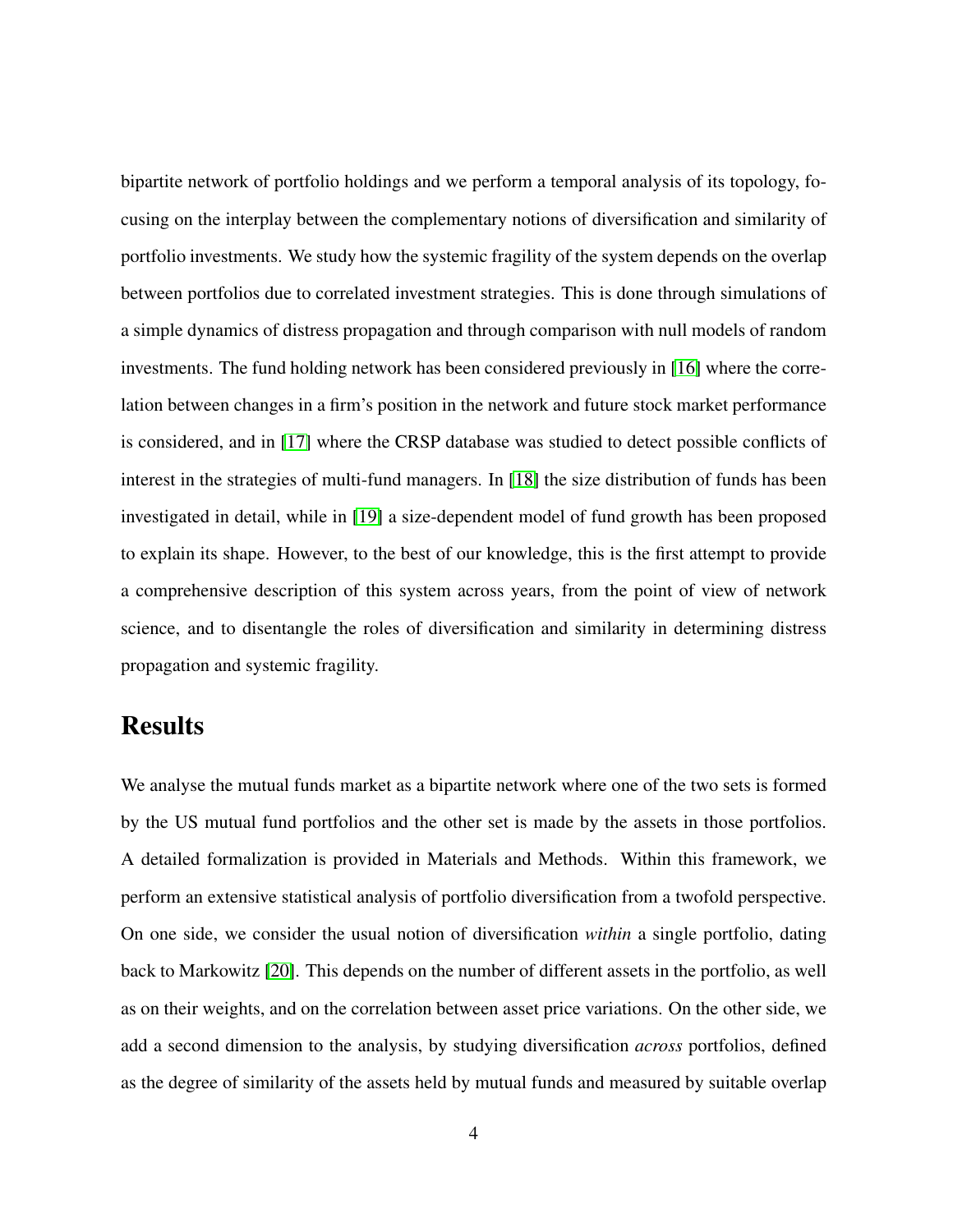bipartite network of portfolio holdings and we perform a temporal analysis of its topology, focusing on the interplay between the complementary notions of diversification and similarity of portfolio investments. We study how the systemic fragility of the system depends on the overlap between portfolios due to correlated investment strategies. This is done through simulations of a simple dynamics of distress propagation and through comparison with null models of random investments. The fund holding network has been considered previously in [\[16\]](#page-24-2) where the correlation between changes in a firm's position in the network and future stock market performance is considered, and in [\[17\]](#page-24-3) where the CRSP database was studied to detect possible conflicts of interest in the strategies of multi-fund managers. In [\[18\]](#page-24-4) the size distribution of funds has been investigated in detail, while in [\[19\]](#page-24-5) a size-dependent model of fund growth has been proposed to explain its shape. However, to the best of our knowledge, this is the first attempt to provide a comprehensive description of this system across years, from the point of view of network science, and to disentangle the roles of diversification and similarity in determining distress propagation and systemic fragility.

### Results

We analyse the mutual funds market as a bipartite network where one of the two sets is formed by the US mutual fund portfolios and the other set is made by the assets in those portfolios. A detailed formalization is provided in Materials and Methods. Within this framework, we perform an extensive statistical analysis of portfolio diversification from a twofold perspective. On one side, we consider the usual notion of diversification *within* a single portfolio, dating back to Markowitz [\[20\]](#page-24-6). This depends on the number of different assets in the portfolio, as well as on their weights, and on the correlation between asset price variations. On the other side, we add a second dimension to the analysis, by studying diversification *across* portfolios, defined as the degree of similarity of the assets held by mutual funds and measured by suitable overlap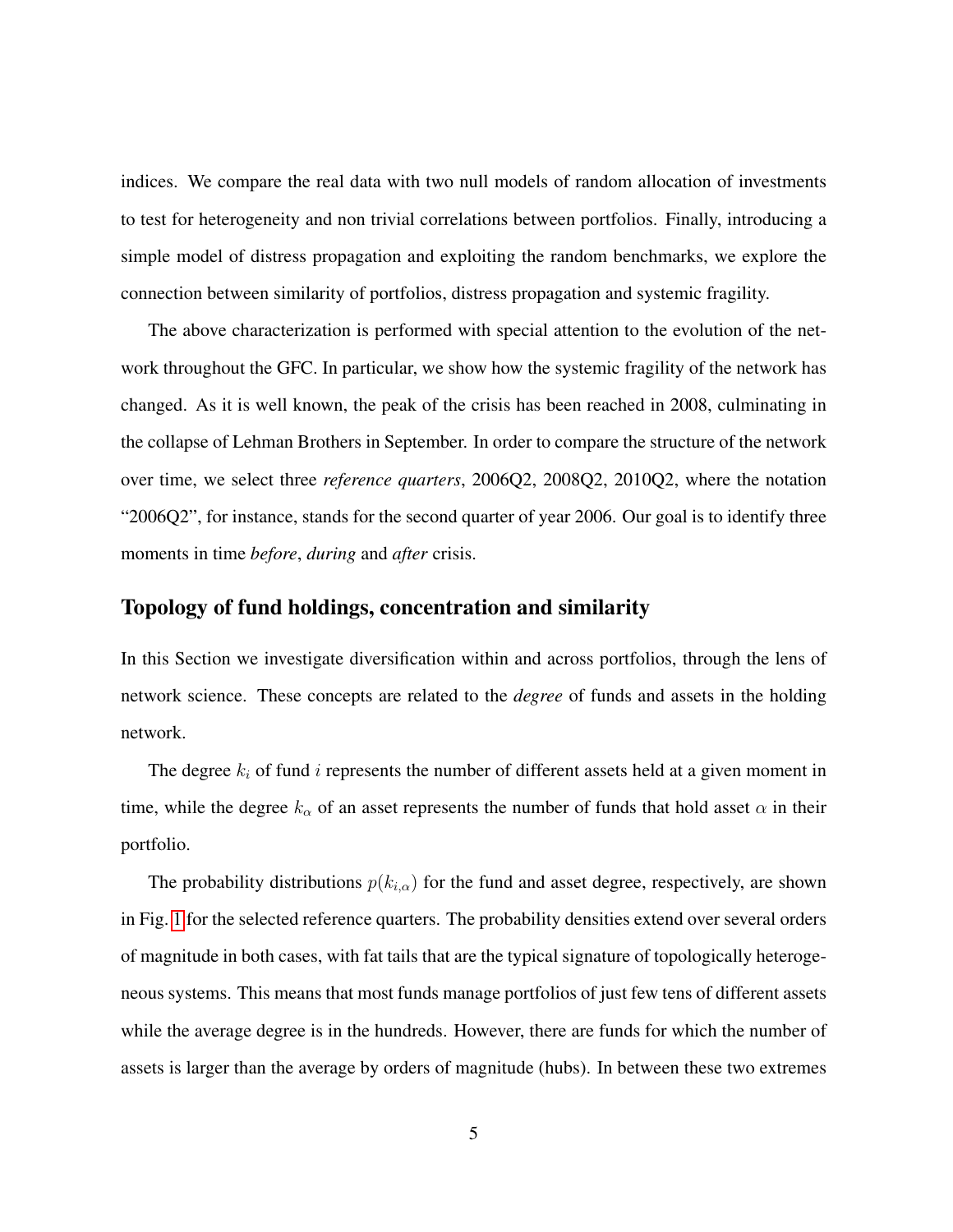indices. We compare the real data with two null models of random allocation of investments to test for heterogeneity and non trivial correlations between portfolios. Finally, introducing a simple model of distress propagation and exploiting the random benchmarks, we explore the connection between similarity of portfolios, distress propagation and systemic fragility.

The above characterization is performed with special attention to the evolution of the network throughout the GFC. In particular, we show how the systemic fragility of the network has changed. As it is well known, the peak of the crisis has been reached in 2008, culminating in the collapse of Lehman Brothers in September. In order to compare the structure of the network over time, we select three *reference quarters*, 2006Q2, 2008Q2, 2010Q2, where the notation "2006Q2", for instance, stands for the second quarter of year 2006. Our goal is to identify three moments in time *before*, *during* and *after* crisis.

#### Topology of fund holdings, concentration and similarity

In this Section we investigate diversification within and across portfolios, through the lens of network science. These concepts are related to the *degree* of funds and assets in the holding network.

The degree  $k_i$  of fund i represents the number of different assets held at a given moment in time, while the degree  $k_{\alpha}$  of an asset represents the number of funds that hold asset  $\alpha$  in their portfolio.

The probability distributions  $p(k_{i,\alpha})$  for the fund and asset degree, respectively, are shown in Fig. [1](#page-5-0) for the selected reference quarters. The probability densities extend over several orders of magnitude in both cases, with fat tails that are the typical signature of topologically heterogeneous systems. This means that most funds manage portfolios of just few tens of different assets while the average degree is in the hundreds. However, there are funds for which the number of assets is larger than the average by orders of magnitude (hubs). In between these two extremes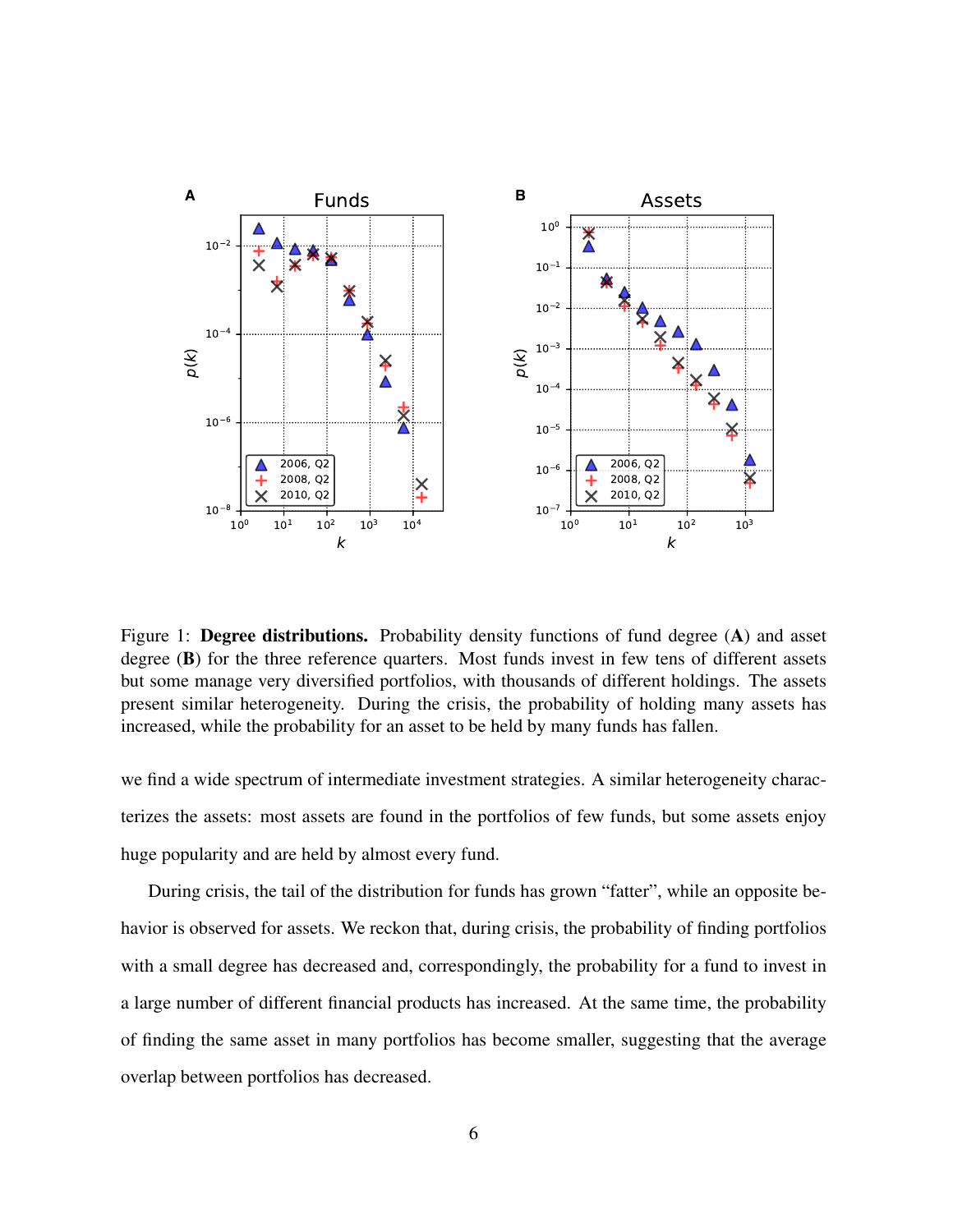

<span id="page-5-0"></span>Figure 1: **Degree distributions.** Probability density functions of fund degree (A) and asset degree (B) for the three reference quarters. Most funds invest in few tens of different assets but some manage very diversified portfolios, with thousands of different holdings. The assets present similar heterogeneity. During the crisis, the probability of holding many assets has increased, while the probability for an asset to be held by many funds has fallen.

we find a wide spectrum of intermediate investment strategies. A similar heterogeneity characterizes the assets: most assets are found in the portfolios of few funds, but some assets enjoy huge popularity and are held by almost every fund.

During crisis, the tail of the distribution for funds has grown "fatter", while an opposite behavior is observed for assets. We reckon that, during crisis, the probability of finding portfolios with a small degree has decreased and, correspondingly, the probability for a fund to invest in a large number of different financial products has increased. At the same time, the probability of finding the same asset in many portfolios has become smaller, suggesting that the average overlap between portfolios has decreased.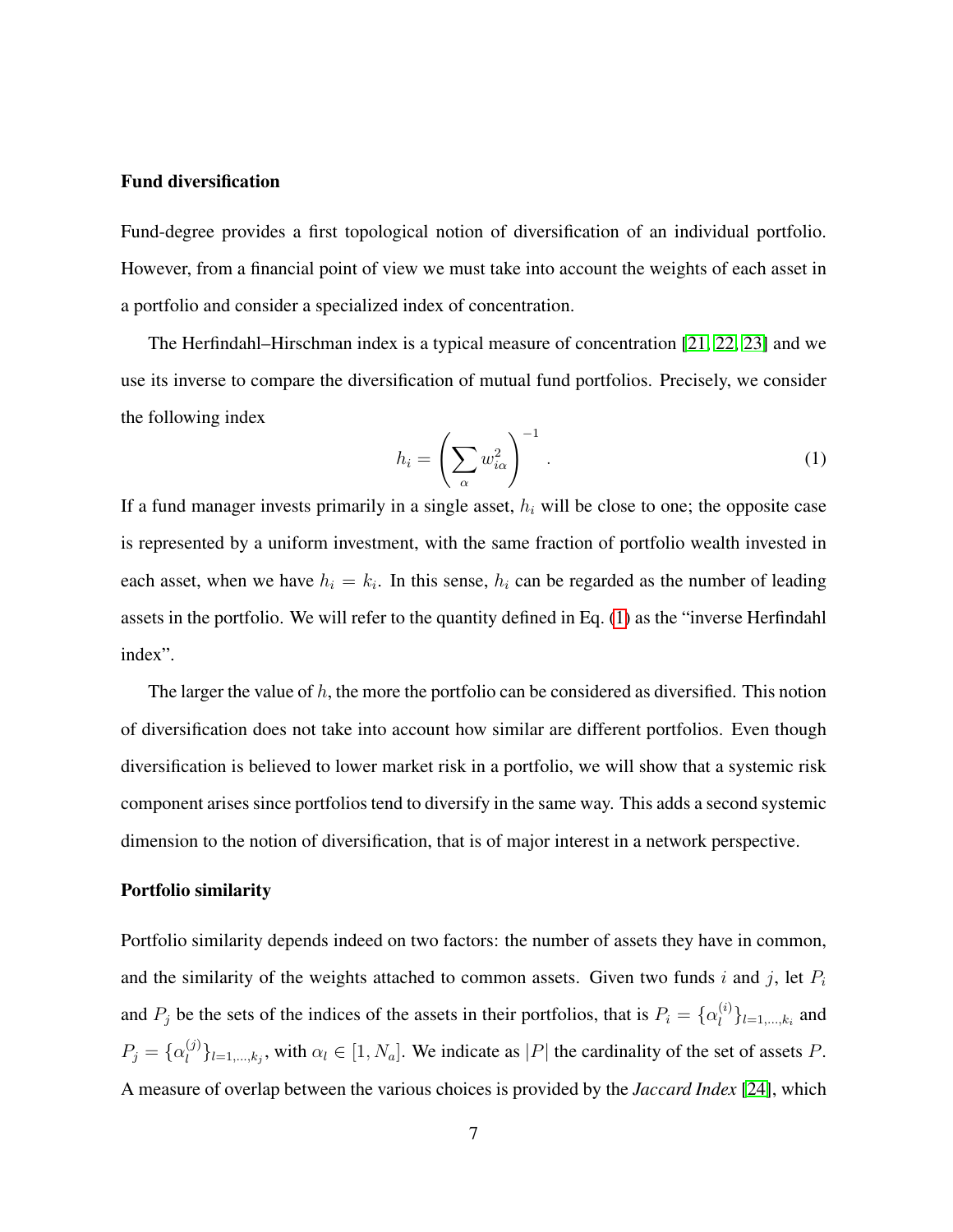#### Fund diversification

Fund-degree provides a first topological notion of diversification of an individual portfolio. However, from a financial point of view we must take into account the weights of each asset in a portfolio and consider a specialized index of concentration.

The Herfindahl–Hirschman index is a typical measure of concentration [\[21,](#page-24-7) [22,](#page-24-8) [23\]](#page-24-9) and we use its inverse to compare the diversification of mutual fund portfolios. Precisely, we consider the following index

<span id="page-6-0"></span>
$$
h_i = \left(\sum_{\alpha} w_{i\alpha}^2\right)^{-1}.
$$
 (1)

If a fund manager invests primarily in a single asset,  $h_i$  will be close to one; the opposite case is represented by a uniform investment, with the same fraction of portfolio wealth invested in each asset, when we have  $h_i = k_i$ . In this sense,  $h_i$  can be regarded as the number of leading assets in the portfolio. We will refer to the quantity defined in Eq. [\(1\)](#page-6-0) as the "inverse Herfindahl index".

The larger the value of  $h$ , the more the portfolio can be considered as diversified. This notion of diversification does not take into account how similar are different portfolios. Even though diversification is believed to lower market risk in a portfolio, we will show that a systemic risk component arises since portfolios tend to diversify in the same way. This adds a second systemic dimension to the notion of diversification, that is of major interest in a network perspective.

#### Portfolio similarity

Portfolio similarity depends indeed on two factors: the number of assets they have in common, and the similarity of the weights attached to common assets. Given two funds  $i$  and  $j$ , let  $P_i$ and  $P_j$  be the sets of the indices of the assets in their portfolios, that is  $P_i = \{ \alpha_i^{(i)} \}$  $\{u^{(i)}\}_{i=1,...,k_i}$  and  $P_j = \{ \alpha_l^{(j)} \}$  $\{U^{(j)}\}_{l=1,\dots,k_j}$ , with  $\alpha_l \in [1, N_a]$ . We indicate as  $|P|$  the cardinality of the set of assets P. A measure of overlap between the various choices is provided by the *Jaccard Index* [\[24\]](#page-24-10), which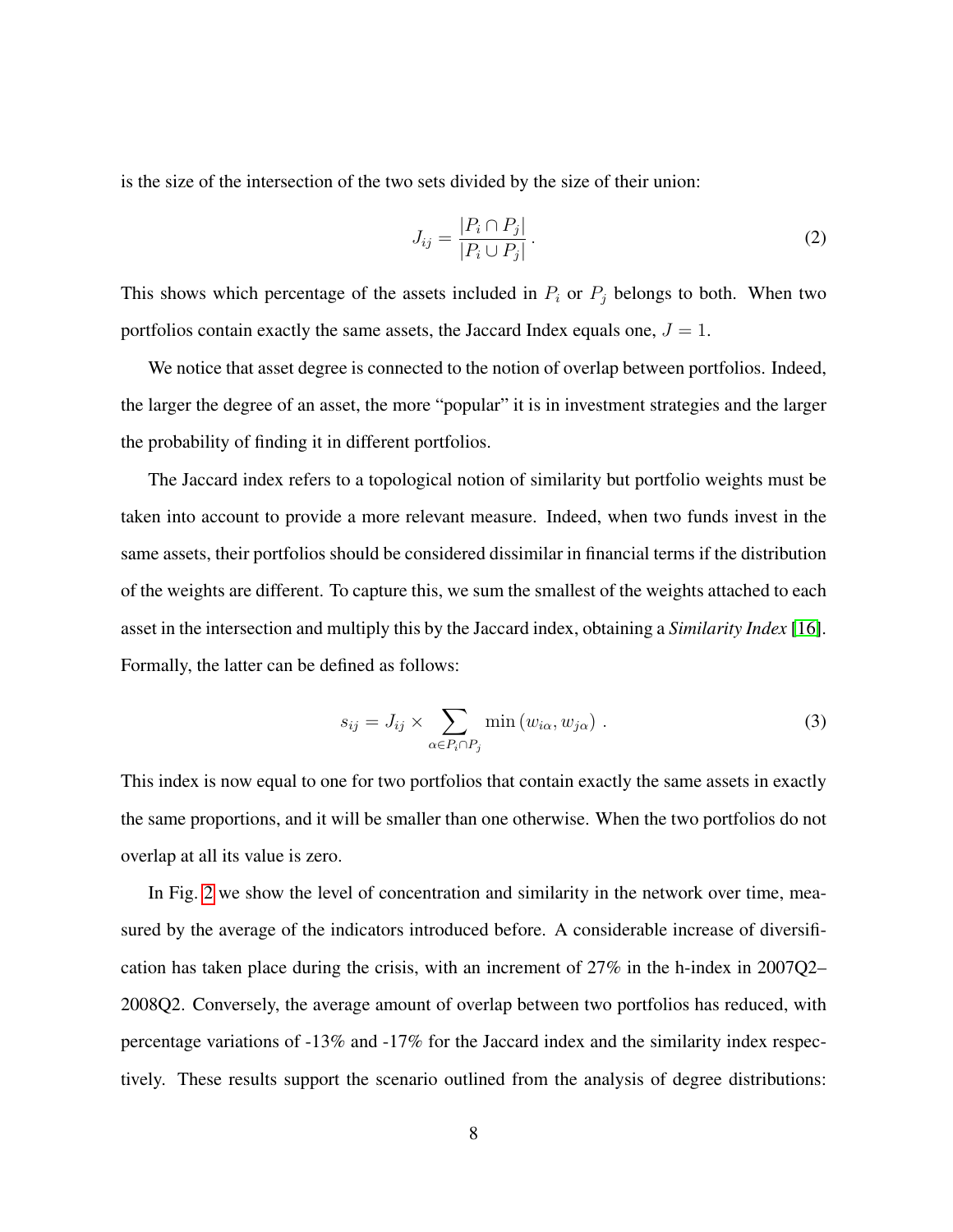is the size of the intersection of the two sets divided by the size of their union:

$$
J_{ij} = \frac{|P_i \cap P_j|}{|P_i \cup P_j|}.
$$
\n<sup>(2)</sup>

This shows which percentage of the assets included in  $P_i$  or  $P_j$  belongs to both. When two portfolios contain exactly the same assets, the Jaccard Index equals one,  $J = 1$ .

We notice that asset degree is connected to the notion of overlap between portfolios. Indeed, the larger the degree of an asset, the more "popular" it is in investment strategies and the larger the probability of finding it in different portfolios.

The Jaccard index refers to a topological notion of similarity but portfolio weights must be taken into account to provide a more relevant measure. Indeed, when two funds invest in the same assets, their portfolios should be considered dissimilar in financial terms if the distribution of the weights are different. To capture this, we sum the smallest of the weights attached to each asset in the intersection and multiply this by the Jaccard index, obtaining a *Similarity Index* [\[16\]](#page-24-2). Formally, the latter can be defined as follows:

<span id="page-7-0"></span>
$$
s_{ij} = J_{ij} \times \sum_{\alpha \in P_i \cap P_j} \min(w_{i\alpha}, w_{j\alpha}) . \tag{3}
$$

This index is now equal to one for two portfolios that contain exactly the same assets in exactly the same proportions, and it will be smaller than one otherwise. When the two portfolios do not overlap at all its value is zero.

In Fig. [2](#page-8-0) we show the level of concentration and similarity in the network over time, measured by the average of the indicators introduced before. A considerable increase of diversification has taken place during the crisis, with an increment of 27% in the h-index in 2007Q2– 2008Q2. Conversely, the average amount of overlap between two portfolios has reduced, with percentage variations of -13% and -17% for the Jaccard index and the similarity index respectively. These results support the scenario outlined from the analysis of degree distributions: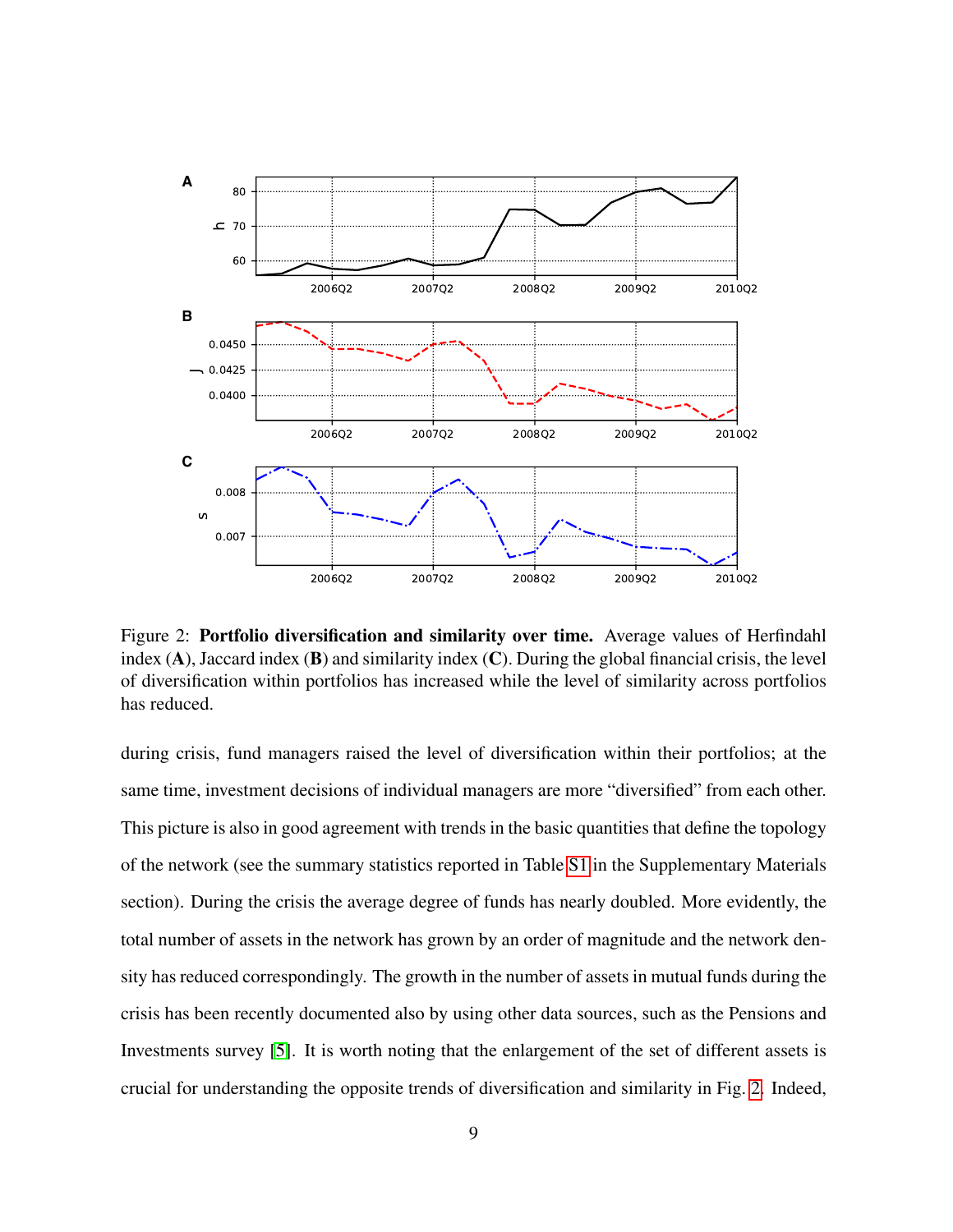

<span id="page-8-0"></span>Figure 2: Portfolio diversification and similarity over time. Average values of Herfindahl index  $(A)$ , Jaccard index  $(B)$  and similarity index  $(C)$ . During the global financial crisis, the level of diversification within portfolios has increased while the level of similarity across portfolios has reduced.

during crisis, fund managers raised the level of diversification within their portfolios; at the same time, investment decisions of individual managers are more "diversified" from each other. This picture is also in good agreement with trends in the basic quantities that define the topology of the network (see the summary statistics reported in Table [S1](#page-26-0) in the Supplementary Materials section). During the crisis the average degree of funds has nearly doubled. More evidently, the total number of assets in the network has grown by an order of magnitude and the network density has reduced correspondingly. The growth in the number of assets in mutual funds during the crisis has been recently documented also by using other data sources, such as the Pensions and Investments survey [\[5\]](#page-23-4). It is worth noting that the enlargement of the set of different assets is crucial for understanding the opposite trends of diversification and similarity in Fig. [2.](#page-8-0) Indeed,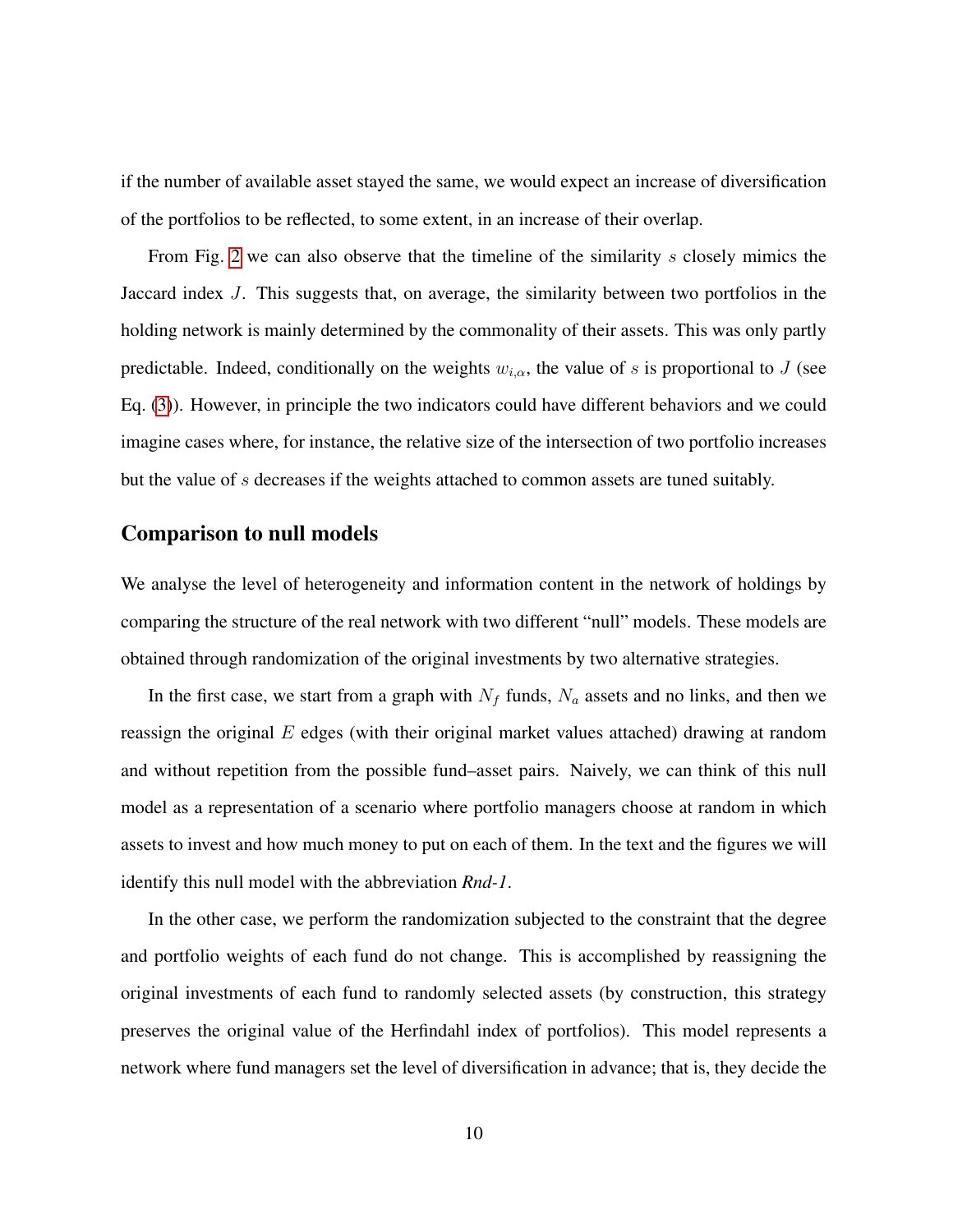if the number of available asset stayed the same, we would expect an increase of diversification of the portfolios to be reflected, to some extent, in an increase of their overlap.

From Fig. [2](#page-8-0) we can also observe that the timeline of the similarity s closely mimics the Jaccard index J. This suggests that, on average, the similarity between two portfolios in the holding network is mainly determined by the commonality of their assets. This was only partly predictable. Indeed, conditionally on the weights  $w_{i,\alpha}$ , the value of s is proportional to J (see Eq. [\(3\)](#page-7-0)). However, in principle the two indicators could have different behaviors and we could imagine cases where, for instance, the relative size of the intersection of two portfolio increases but the value of s decreases if the weights attached to common assets are tuned suitably.

#### Comparison to null models

We analyse the level of heterogeneity and information content in the network of holdings by comparing the structure of the real network with two different "null" models. These models are obtained through randomization of the original investments by two alternative strategies.

In the first case, we start from a graph with  $N_f$  funds,  $N_a$  assets and no links, and then we reassign the original  $E$  edges (with their original market values attached) drawing at random and without repetition from the possible fund–asset pairs. Naively, we can think of this null model as a representation of a scenario where portfolio managers choose at random in which assets to invest and how much money to put on each of them. In the text and the figures we will identify this null model with the abbreviation *Rnd-1*.

In the other case, we perform the randomization subjected to the constraint that the degree and portfolio weights of each fund do not change. This is accomplished by reassigning the original investments of each fund to randomly selected assets (by construction, this strategy preserves the original value of the Herfindahl index of portfolios). This model represents a network where fund managers set the level of diversification in advance; that is, they decide the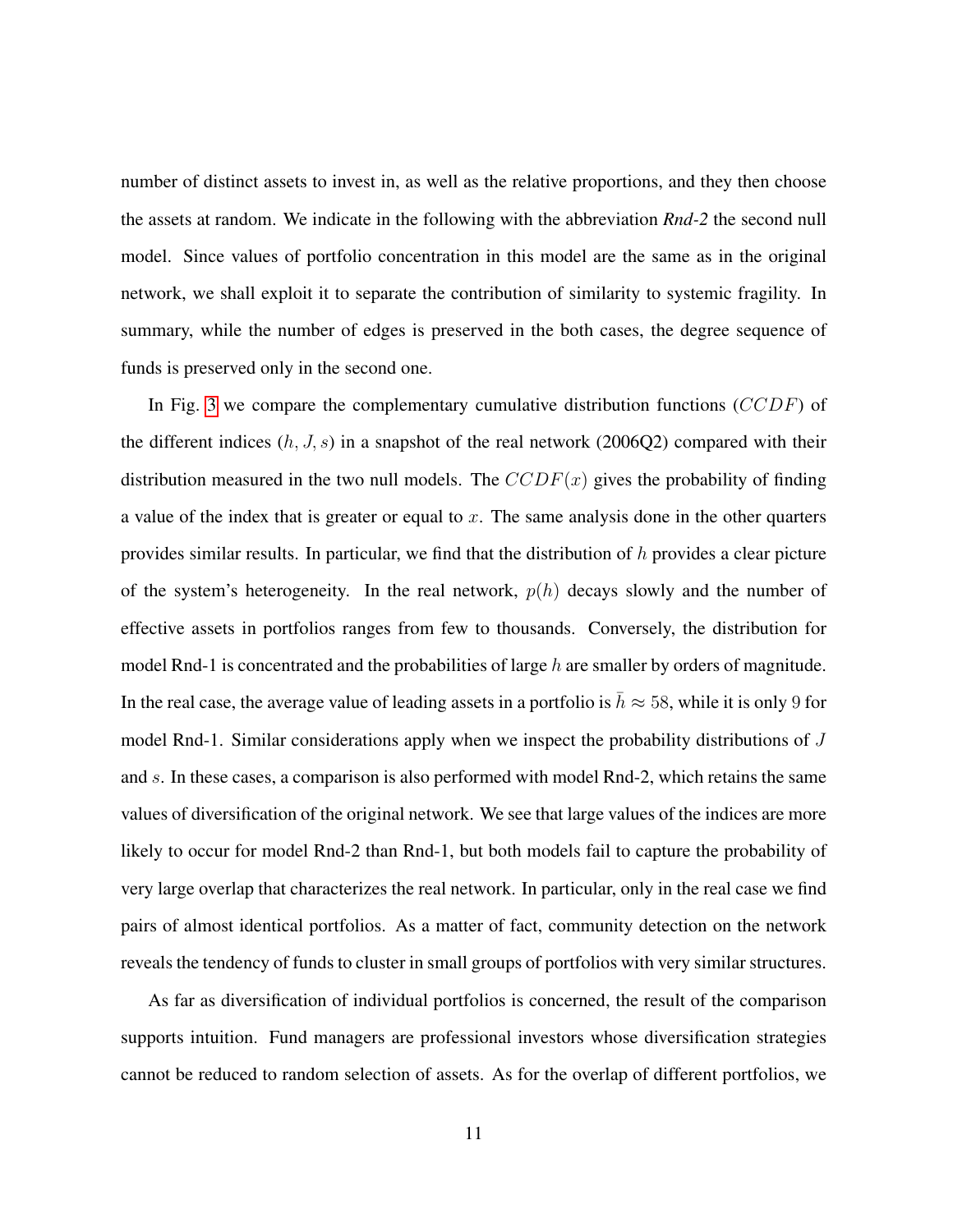number of distinct assets to invest in, as well as the relative proportions, and they then choose the assets at random. We indicate in the following with the abbreviation *Rnd-2* the second null model. Since values of portfolio concentration in this model are the same as in the original network, we shall exploit it to separate the contribution of similarity to systemic fragility. In summary, while the number of edges is preserved in the both cases, the degree sequence of funds is preserved only in the second one.

In Fig. [3](#page-11-0) we compare the complementary cumulative distribution functions (CCDF) of the different indices  $(h, J, s)$  in a snapshot of the real network (2006Q2) compared with their distribution measured in the two null models. The  $CCDF(x)$  gives the probability of finding a value of the index that is greater or equal to  $x$ . The same analysis done in the other quarters provides similar results. In particular, we find that the distribution of  $h$  provides a clear picture of the system's heterogeneity. In the real network,  $p(h)$  decays slowly and the number of effective assets in portfolios ranges from few to thousands. Conversely, the distribution for model Rnd-1 is concentrated and the probabilities of large h are smaller by orders of magnitude. In the real case, the average value of leading assets in a portfolio is  $\bar{h} \approx 58$ , while it is only 9 for model Rnd-1. Similar considerations apply when we inspect the probability distributions of J and s. In these cases, a comparison is also performed with model Rnd-2, which retains the same values of diversification of the original network. We see that large values of the indices are more likely to occur for model Rnd-2 than Rnd-1, but both models fail to capture the probability of very large overlap that characterizes the real network. In particular, only in the real case we find pairs of almost identical portfolios. As a matter of fact, community detection on the network reveals the tendency of funds to cluster in small groups of portfolios with very similar structures.

As far as diversification of individual portfolios is concerned, the result of the comparison supports intuition. Fund managers are professional investors whose diversification strategies cannot be reduced to random selection of assets. As for the overlap of different portfolios, we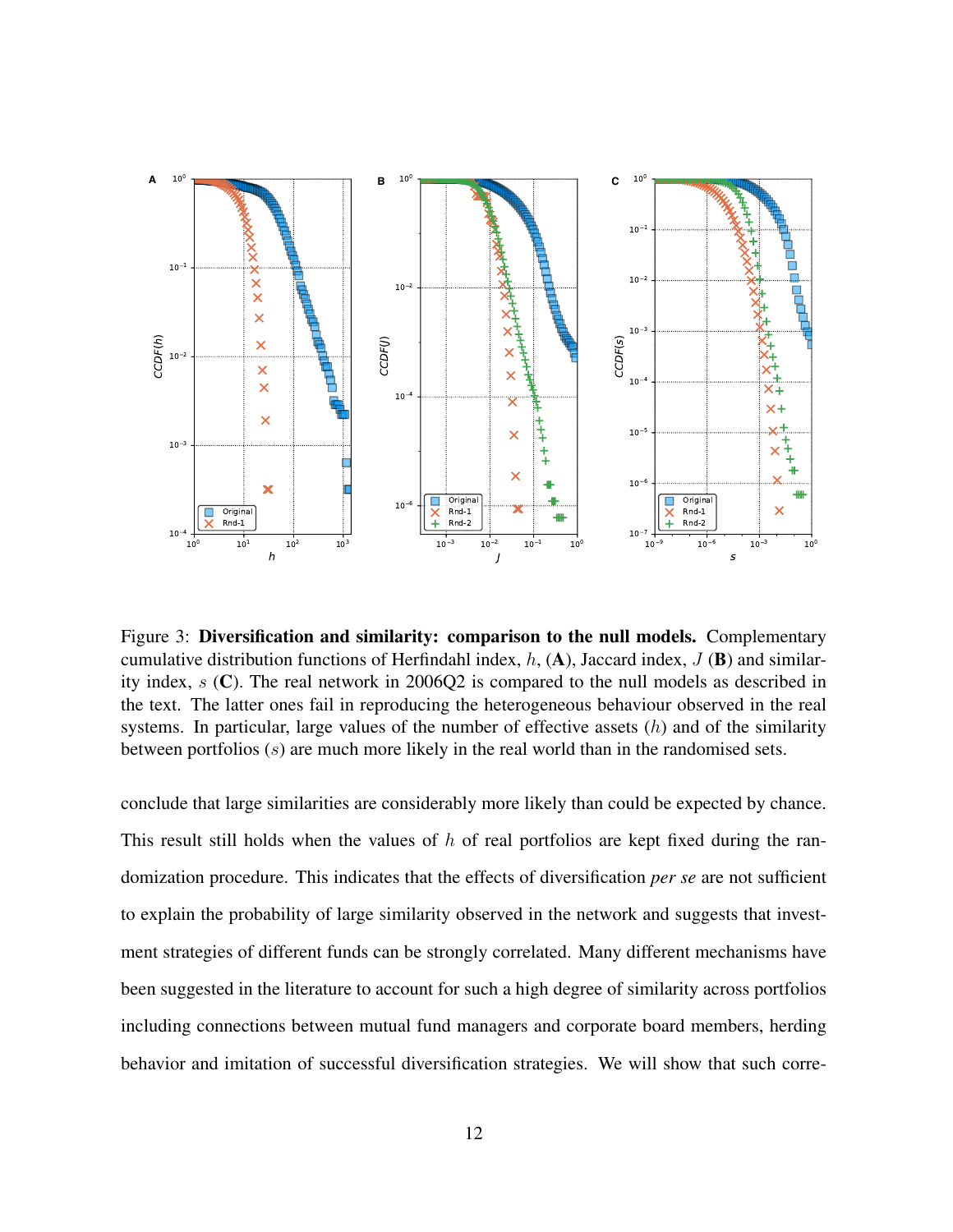

<span id="page-11-0"></span>Figure 3: Diversification and similarity: comparison to the null models. Complementary cumulative distribution functions of Herfindahl index, h,  $(A)$ , Jaccard index, J  $(B)$  and similarity index,  $s(\mathbf{C})$ . The real network in 2006Q2 is compared to the null models as described in the text. The latter ones fail in reproducing the heterogeneous behaviour observed in the real systems. In particular, large values of the number of effective assets  $(h)$  and of the similarity between portfolios (s) are much more likely in the real world than in the randomised sets.

conclude that large similarities are considerably more likely than could be expected by chance. This result still holds when the values of  $h$  of real portfolios are kept fixed during the randomization procedure. This indicates that the effects of diversification *per se* are not sufficient to explain the probability of large similarity observed in the network and suggests that investment strategies of different funds can be strongly correlated. Many different mechanisms have been suggested in the literature to account for such a high degree of similarity across portfolios including connections between mutual fund managers and corporate board members, herding behavior and imitation of successful diversification strategies. We will show that such corre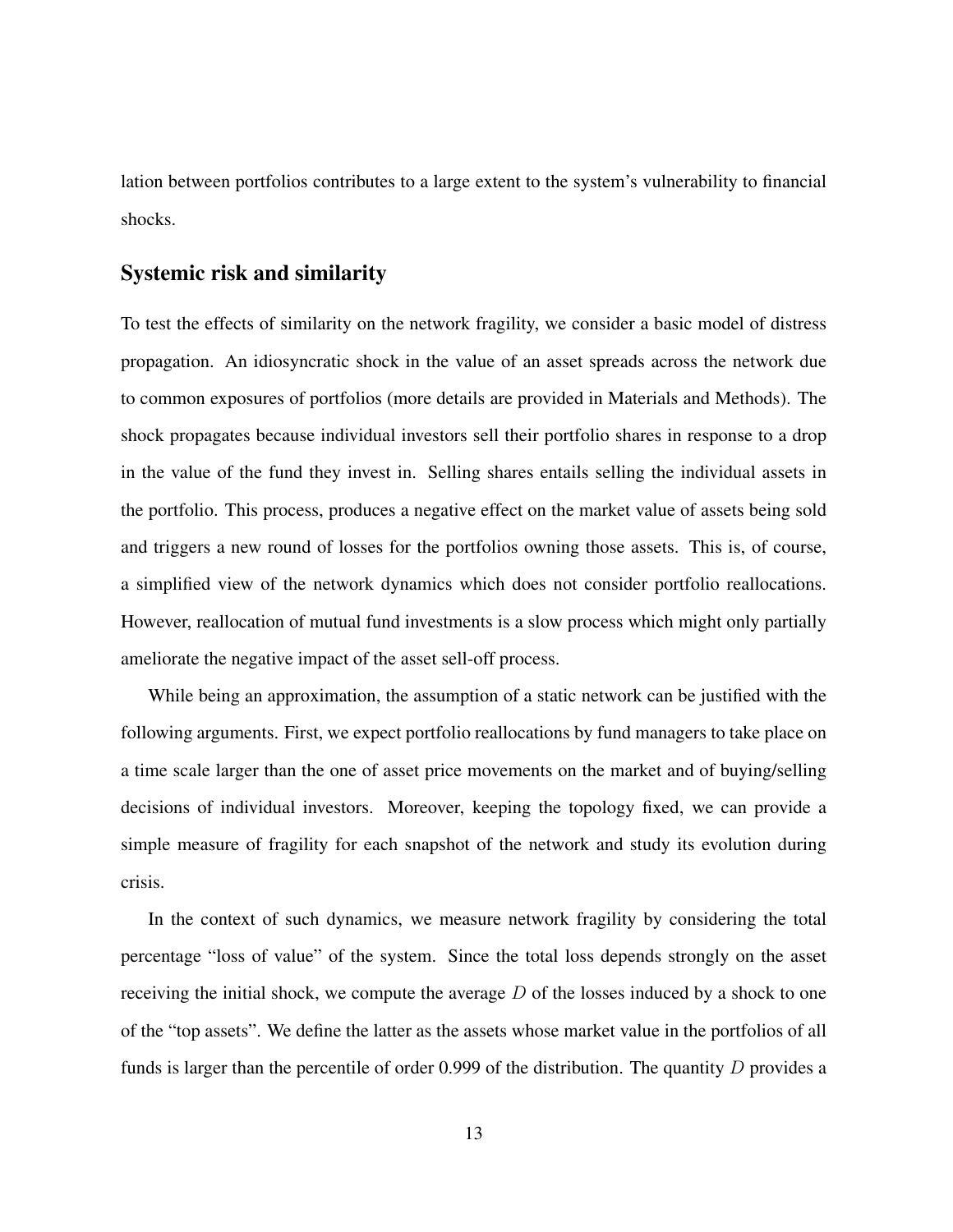lation between portfolios contributes to a large extent to the system's vulnerability to financial shocks.

#### Systemic risk and similarity

To test the effects of similarity on the network fragility, we consider a basic model of distress propagation. An idiosyncratic shock in the value of an asset spreads across the network due to common exposures of portfolios (more details are provided in Materials and Methods). The shock propagates because individual investors sell their portfolio shares in response to a drop in the value of the fund they invest in. Selling shares entails selling the individual assets in the portfolio. This process, produces a negative effect on the market value of assets being sold and triggers a new round of losses for the portfolios owning those assets. This is, of course, a simplified view of the network dynamics which does not consider portfolio reallocations. However, reallocation of mutual fund investments is a slow process which might only partially ameliorate the negative impact of the asset sell-off process.

While being an approximation, the assumption of a static network can be justified with the following arguments. First, we expect portfolio reallocations by fund managers to take place on a time scale larger than the one of asset price movements on the market and of buying/selling decisions of individual investors. Moreover, keeping the topology fixed, we can provide a simple measure of fragility for each snapshot of the network and study its evolution during crisis.

In the context of such dynamics, we measure network fragility by considering the total percentage "loss of value" of the system. Since the total loss depends strongly on the asset receiving the initial shock, we compute the average  $D$  of the losses induced by a shock to one of the "top assets". We define the latter as the assets whose market value in the portfolios of all funds is larger than the percentile of order 0.999 of the distribution. The quantity  $D$  provides a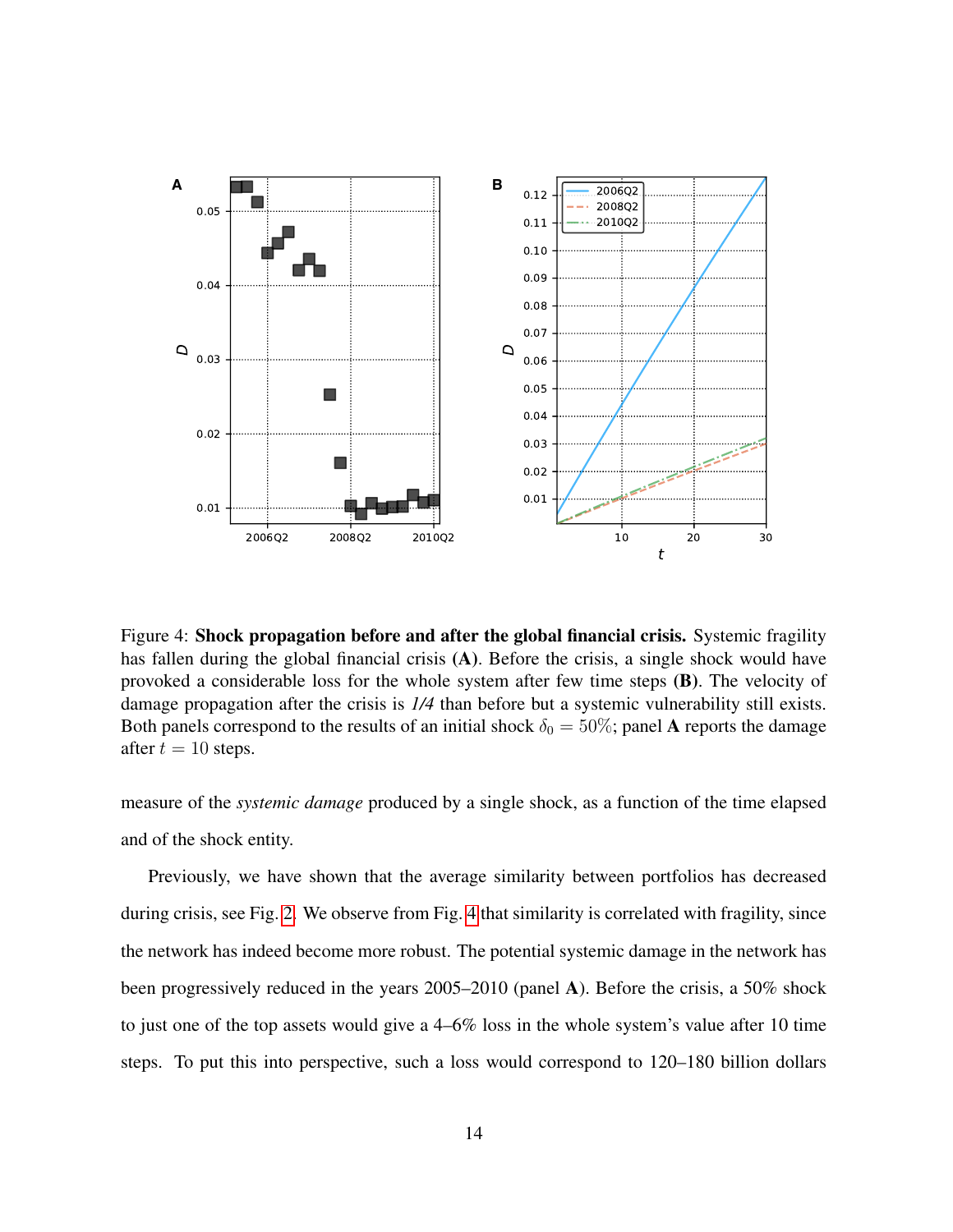

<span id="page-13-0"></span>Figure 4: Shock propagation before and after the global financial crisis. Systemic fragility has fallen during the global financial crisis (A). Before the crisis, a single shock would have provoked a considerable loss for the whole system after few time steps (B). The velocity of damage propagation after the crisis is *1/4* than before but a systemic vulnerability still exists. Both panels correspond to the results of an initial shock  $\delta_0 = 50\%$ ; panel A reports the damage after  $t = 10$  steps.

measure of the *systemic damage* produced by a single shock, as a function of the time elapsed and of the shock entity.

Previously, we have shown that the average similarity between portfolios has decreased during crisis, see Fig. [2.](#page-8-0) We observe from Fig. [4](#page-13-0) that similarity is correlated with fragility, since the network has indeed become more robust. The potential systemic damage in the network has been progressively reduced in the years 2005–2010 (panel A). Before the crisis, a 50% shock to just one of the top assets would give a 4–6% loss in the whole system's value after 10 time steps. To put this into perspective, such a loss would correspond to 120–180 billion dollars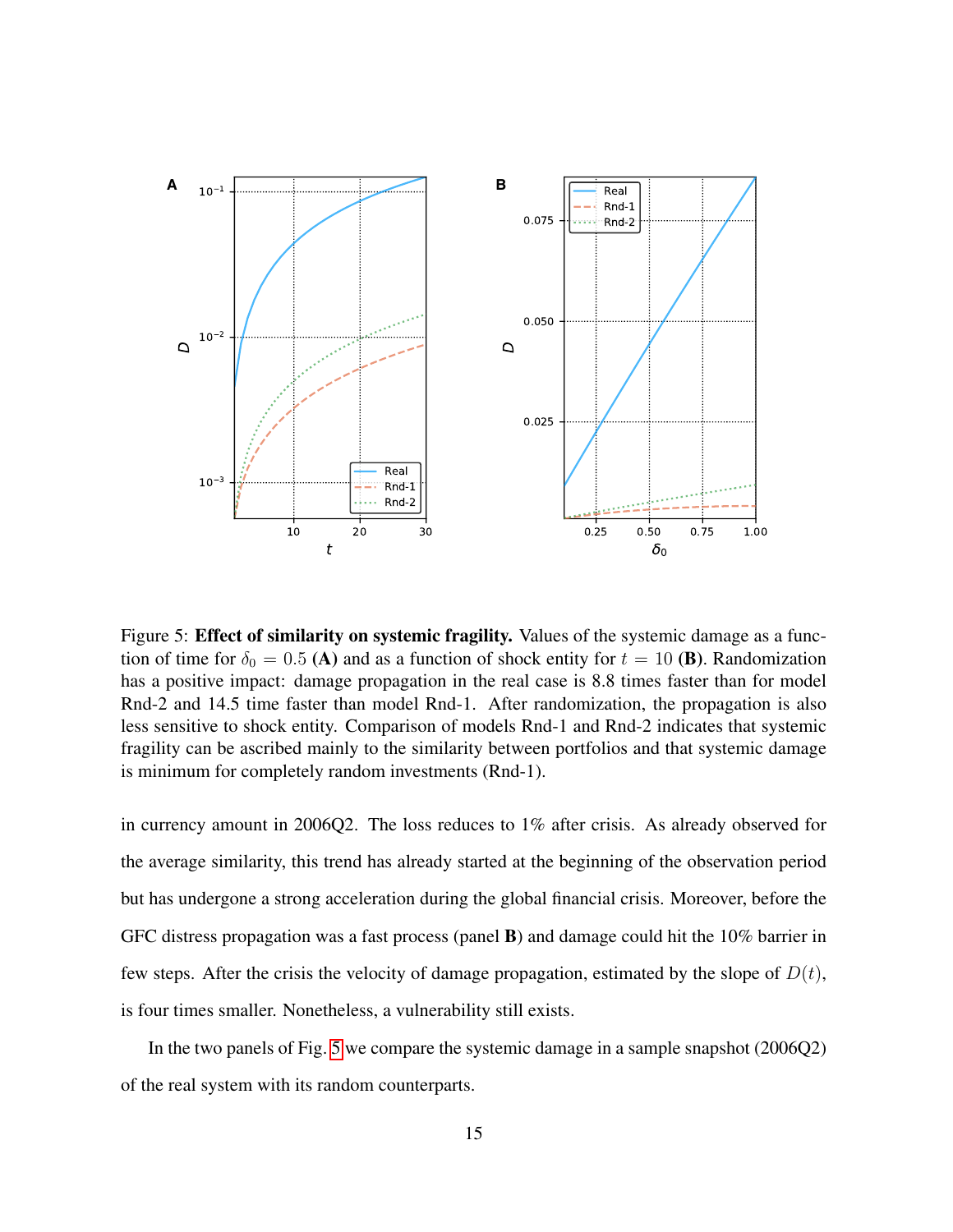

<span id="page-14-0"></span>Figure 5: **Effect of similarity on systemic fragility.** Values of the systemic damage as a function of time for  $\delta_0 = 0.5$  (A) and as a function of shock entity for  $t = 10$  (B). Randomization has a positive impact: damage propagation in the real case is 8.8 times faster than for model Rnd-2 and 14.5 time faster than model Rnd-1. After randomization, the propagation is also less sensitive to shock entity. Comparison of models Rnd-1 and Rnd-2 indicates that systemic fragility can be ascribed mainly to the similarity between portfolios and that systemic damage is minimum for completely random investments (Rnd-1).

in currency amount in 2006Q2. The loss reduces to  $1\%$  after crisis. As already observed for the average similarity, this trend has already started at the beginning of the observation period but has undergone a strong acceleration during the global financial crisis. Moreover, before the GFC distress propagation was a fast process (panel B) and damage could hit the 10% barrier in few steps. After the crisis the velocity of damage propagation, estimated by the slope of  $D(t)$ , is four times smaller. Nonetheless, a vulnerability still exists.

In the two panels of Fig. [5](#page-14-0) we compare the systemic damage in a sample snapshot (2006Q2) of the real system with its random counterparts.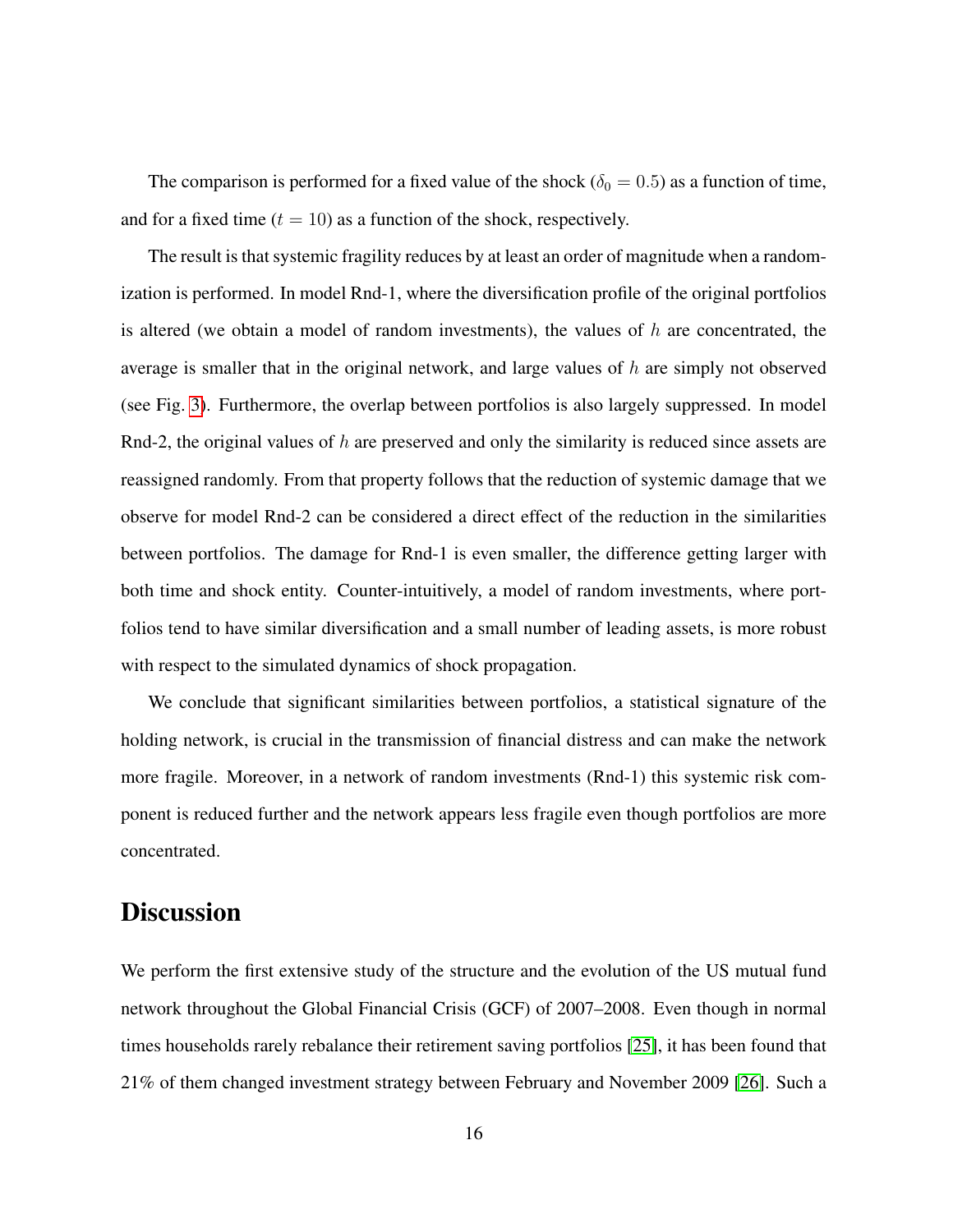The comparison is performed for a fixed value of the shock ( $\delta_0 = 0.5$ ) as a function of time, and for a fixed time  $(t = 10)$  as a function of the shock, respectively.

The result is that systemic fragility reduces by at least an order of magnitude when a randomization is performed. In model Rnd-1, where the diversification profile of the original portfolios is altered (we obtain a model of random investments), the values of  $h$  are concentrated, the average is smaller that in the original network, and large values of  $h$  are simply not observed (see Fig. [3\)](#page-11-0). Furthermore, the overlap between portfolios is also largely suppressed. In model Rnd-2, the original values of h are preserved and only the similarity is reduced since assets are reassigned randomly. From that property follows that the reduction of systemic damage that we observe for model Rnd-2 can be considered a direct effect of the reduction in the similarities between portfolios. The damage for Rnd-1 is even smaller, the difference getting larger with both time and shock entity. Counter-intuitively, a model of random investments, where portfolios tend to have similar diversification and a small number of leading assets, is more robust with respect to the simulated dynamics of shock propagation.

We conclude that significant similarities between portfolios, a statistical signature of the holding network, is crucial in the transmission of financial distress and can make the network more fragile. Moreover, in a network of random investments (Rnd-1) this systemic risk component is reduced further and the network appears less fragile even though portfolios are more concentrated.

### **Discussion**

We perform the first extensive study of the structure and the evolution of the US mutual fund network throughout the Global Financial Crisis (GCF) of 2007–2008. Even though in normal times households rarely rebalance their retirement saving portfolios [\[25\]](#page-24-11), it has been found that 21% of them changed investment strategy between February and November 2009 [\[26\]](#page-24-12). Such a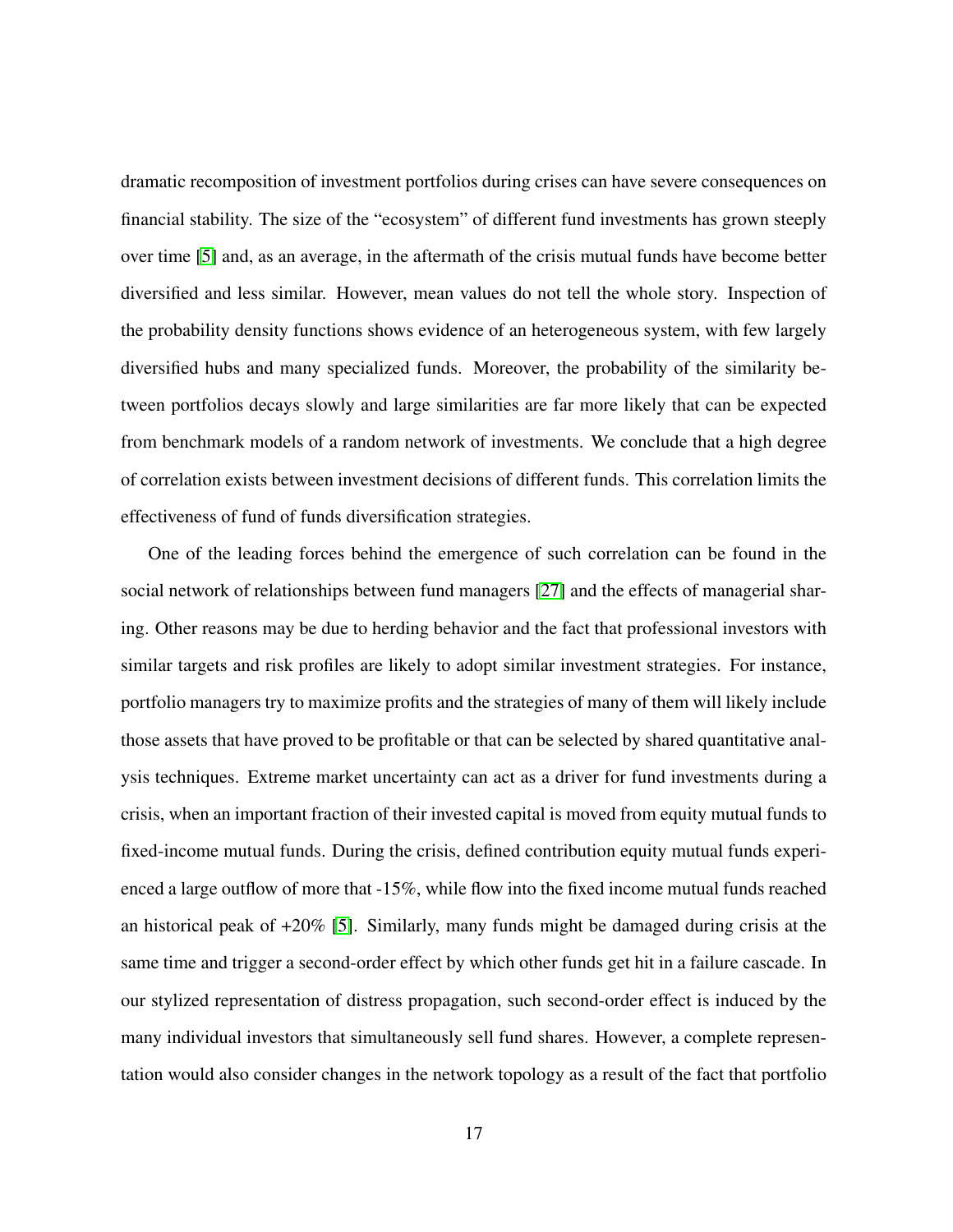dramatic recomposition of investment portfolios during crises can have severe consequences on financial stability. The size of the "ecosystem" of different fund investments has grown steeply over time [\[5\]](#page-23-4) and, as an average, in the aftermath of the crisis mutual funds have become better diversified and less similar. However, mean values do not tell the whole story. Inspection of the probability density functions shows evidence of an heterogeneous system, with few largely diversified hubs and many specialized funds. Moreover, the probability of the similarity between portfolios decays slowly and large similarities are far more likely that can be expected from benchmark models of a random network of investments. We conclude that a high degree of correlation exists between investment decisions of different funds. This correlation limits the effectiveness of fund of funds diversification strategies.

One of the leading forces behind the emergence of such correlation can be found in the social network of relationships between fund managers [\[27\]](#page-24-13) and the effects of managerial sharing. Other reasons may be due to herding behavior and the fact that professional investors with similar targets and risk profiles are likely to adopt similar investment strategies. For instance, portfolio managers try to maximize profits and the strategies of many of them will likely include those assets that have proved to be profitable or that can be selected by shared quantitative analysis techniques. Extreme market uncertainty can act as a driver for fund investments during a crisis, when an important fraction of their invested capital is moved from equity mutual funds to fixed-income mutual funds. During the crisis, defined contribution equity mutual funds experienced a large outflow of more that -15%, while flow into the fixed income mutual funds reached an historical peak of  $+20\%$  [\[5\]](#page-23-4). Similarly, many funds might be damaged during crisis at the same time and trigger a second-order effect by which other funds get hit in a failure cascade. In our stylized representation of distress propagation, such second-order effect is induced by the many individual investors that simultaneously sell fund shares. However, a complete representation would also consider changes in the network topology as a result of the fact that portfolio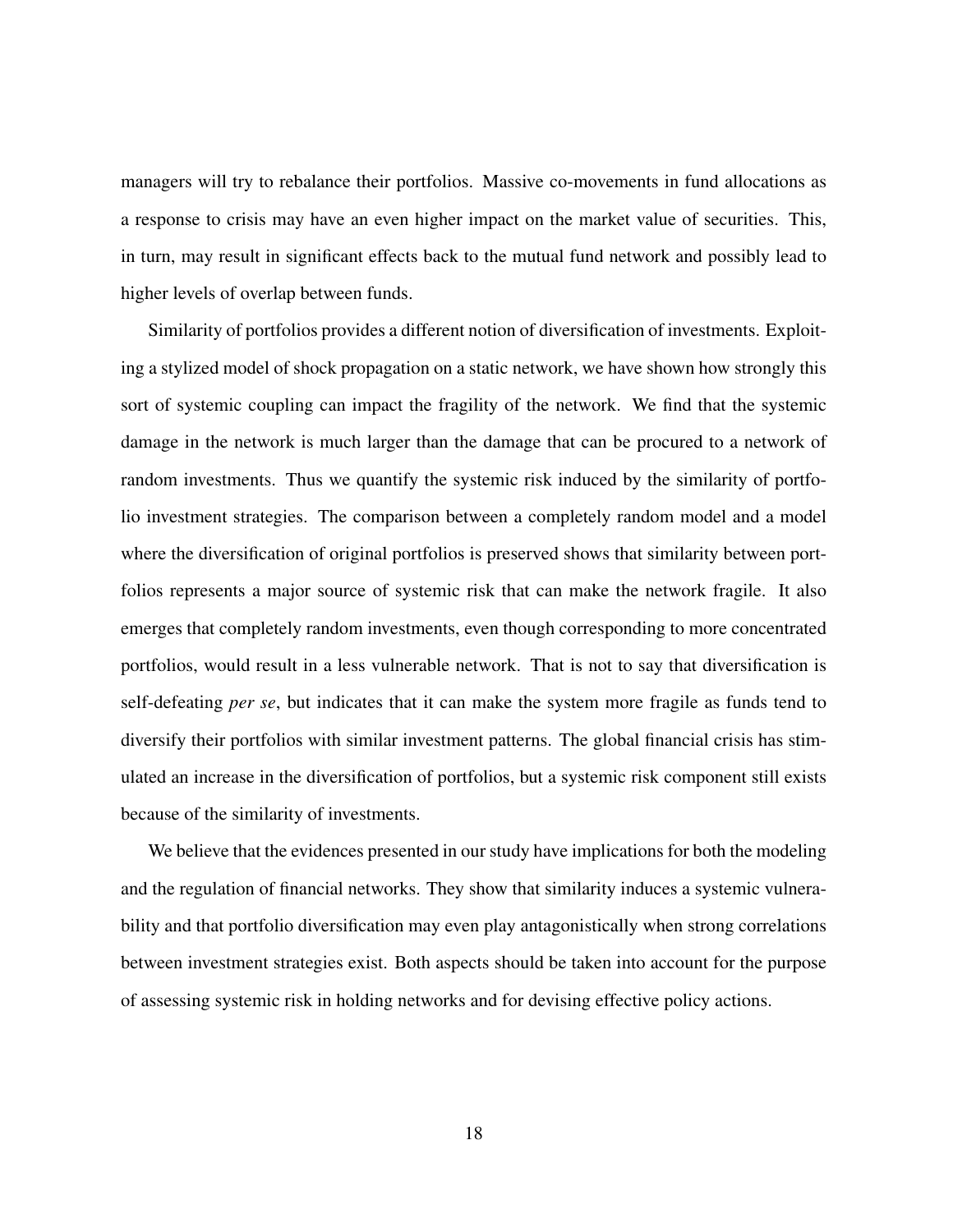managers will try to rebalance their portfolios. Massive co-movements in fund allocations as a response to crisis may have an even higher impact on the market value of securities. This, in turn, may result in significant effects back to the mutual fund network and possibly lead to higher levels of overlap between funds.

Similarity of portfolios provides a different notion of diversification of investments. Exploiting a stylized model of shock propagation on a static network, we have shown how strongly this sort of systemic coupling can impact the fragility of the network. We find that the systemic damage in the network is much larger than the damage that can be procured to a network of random investments. Thus we quantify the systemic risk induced by the similarity of portfolio investment strategies. The comparison between a completely random model and a model where the diversification of original portfolios is preserved shows that similarity between portfolios represents a major source of systemic risk that can make the network fragile. It also emerges that completely random investments, even though corresponding to more concentrated portfolios, would result in a less vulnerable network. That is not to say that diversification is self-defeating *per se*, but indicates that it can make the system more fragile as funds tend to diversify their portfolios with similar investment patterns. The global financial crisis has stimulated an increase in the diversification of portfolios, but a systemic risk component still exists because of the similarity of investments.

We believe that the evidences presented in our study have implications for both the modeling and the regulation of financial networks. They show that similarity induces a systemic vulnerability and that portfolio diversification may even play antagonistically when strong correlations between investment strategies exist. Both aspects should be taken into account for the purpose of assessing systemic risk in holding networks and for devising effective policy actions.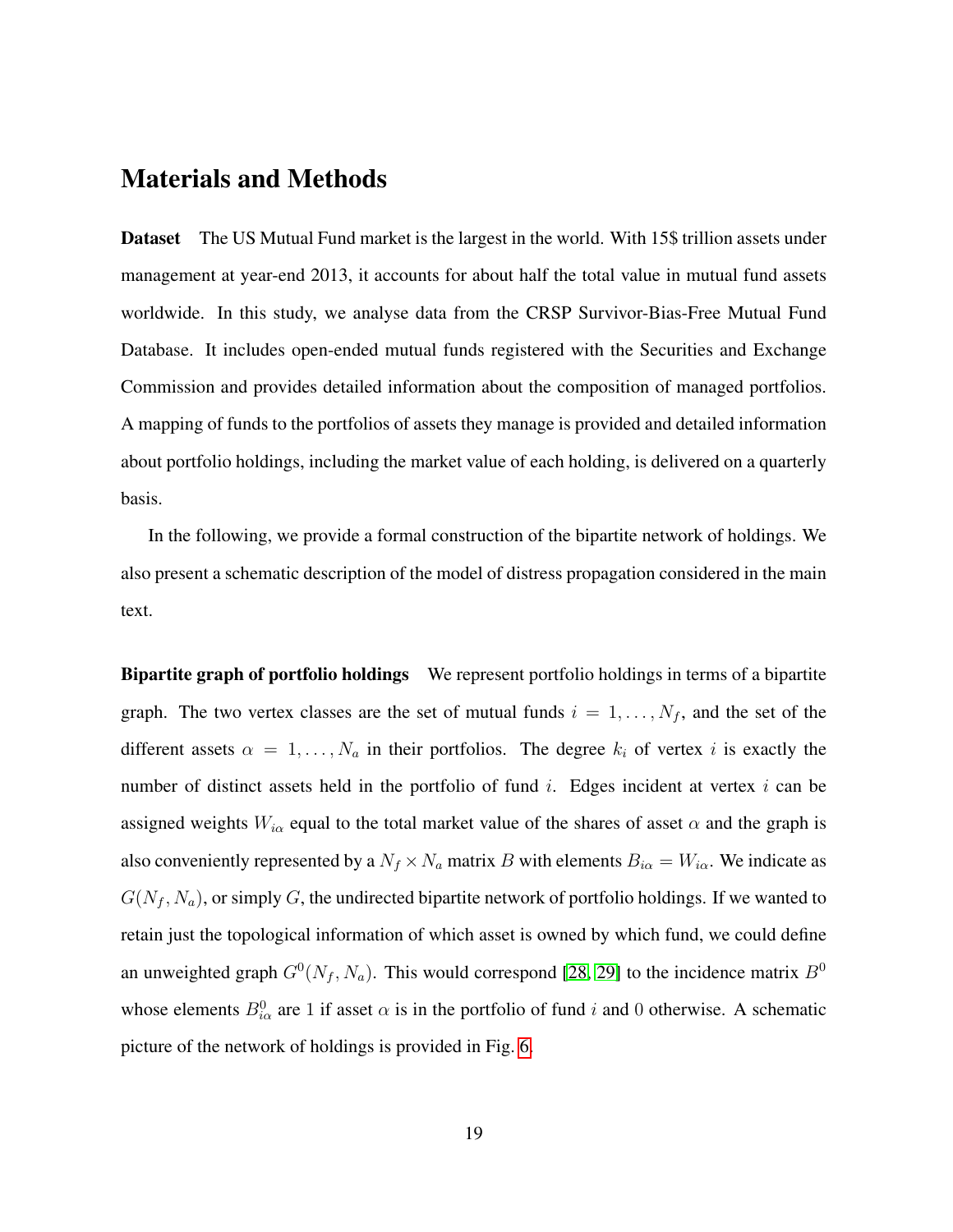### Materials and Methods

Dataset The US Mutual Fund market is the largest in the world. With 15\$ trillion assets under management at year-end 2013, it accounts for about half the total value in mutual fund assets worldwide. In this study, we analyse data from the CRSP Survivor-Bias-Free Mutual Fund Database. It includes open-ended mutual funds registered with the Securities and Exchange Commission and provides detailed information about the composition of managed portfolios. A mapping of funds to the portfolios of assets they manage is provided and detailed information about portfolio holdings, including the market value of each holding, is delivered on a quarterly basis.

In the following, we provide a formal construction of the bipartite network of holdings. We also present a schematic description of the model of distress propagation considered in the main text.

Bipartite graph of portfolio holdings We represent portfolio holdings in terms of a bipartite graph. The two vertex classes are the set of mutual funds  $i = 1, \ldots, N_f$ , and the set of the different assets  $\alpha = 1, \ldots, N_a$  in their portfolios. The degree  $k_i$  of vertex i is exactly the number of distinct assets held in the portfolio of fund  $i$ . Edges incident at vertex  $i$  can be assigned weights  $W_{i\alpha}$  equal to the total market value of the shares of asset  $\alpha$  and the graph is also conveniently represented by a  $N_f \times N_a$  matrix B with elements  $B_{i\alpha} = W_{i\alpha}$ . We indicate as  $G(N_f, N_a)$ , or simply G, the undirected bipartite network of portfolio holdings. If we wanted to retain just the topological information of which asset is owned by which fund, we could define an unweighted graph  $G^0(N_f, N_a)$ . This would correspond [\[28,](#page-24-14) [29\]](#page-25-0) to the incidence matrix  $B^0$ whose elements  $B_{i\alpha}^0$  are 1 if asset  $\alpha$  is in the portfolio of fund i and 0 otherwise. A schematic picture of the network of holdings is provided in Fig. [6.](#page-19-0)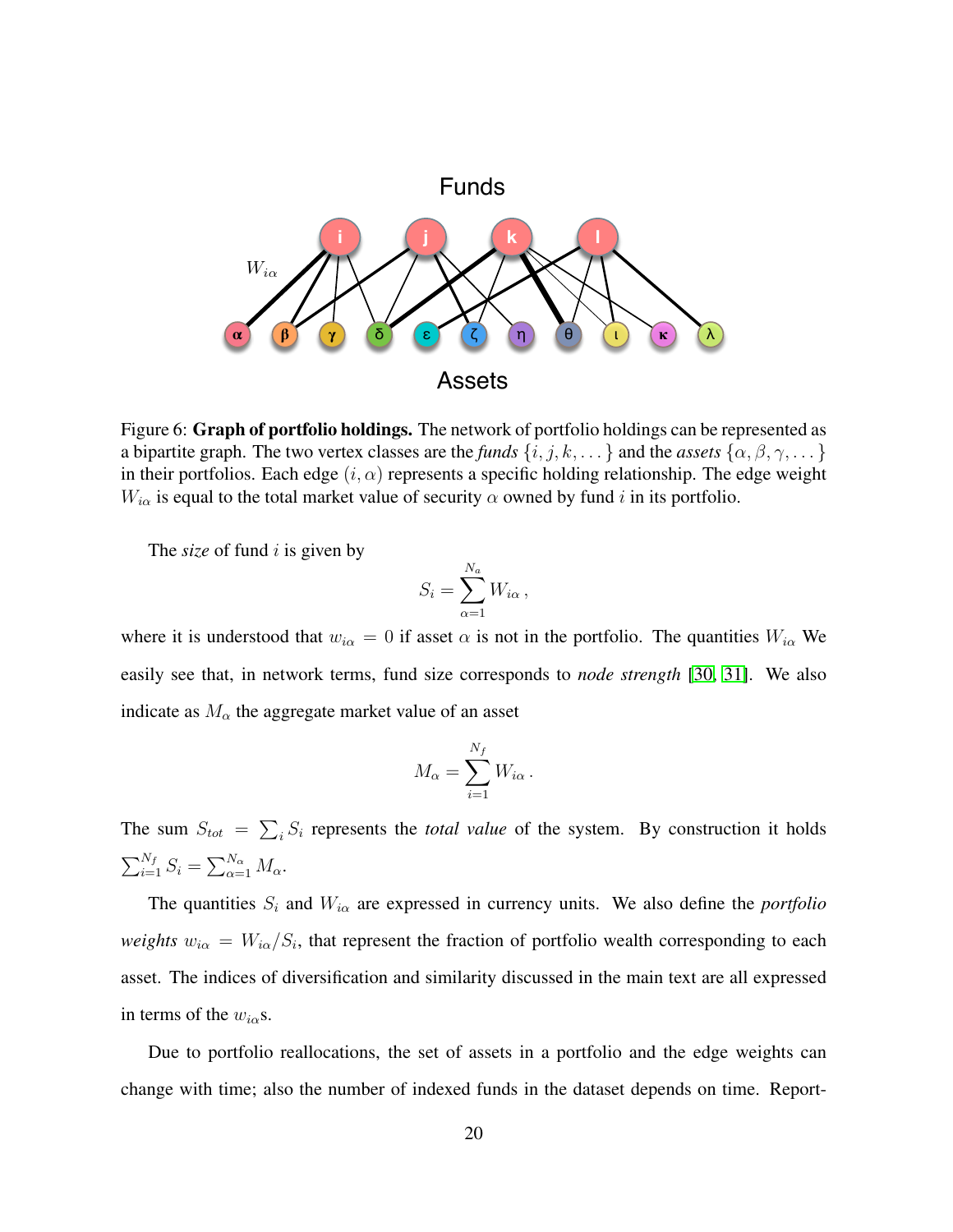

<span id="page-19-0"></span>Figure 6: Graph of portfolio holdings. The network of portfolio holdings can be represented as a bipartite graph. The two vertex classes are the *funds*  $\{i, j, k, \dots\}$  and the *assets*  $\{\alpha, \beta, \gamma, \dots\}$ in their portfolios. Each edge  $(i, \alpha)$  represents a specific holding relationship. The edge weight  $W_{i\alpha}$  is equal to the total market value of security  $\alpha$  owned by fund i in its portfolio.

The *size* of fund *i* is given by

$$
S_i = \sum_{\alpha=1}^{N_a} W_{i\alpha},
$$

where it is understood that  $w_{i\alpha} = 0$  if asset  $\alpha$  is not in the portfolio. The quantities  $W_{i\alpha}$  We easily see that, in network terms, fund size corresponds to *node strength* [\[30,](#page-25-1) [31\]](#page-25-2). We also indicate as  $M_{\alpha}$  the aggregate market value of an asset

$$
M_{\alpha} = \sum_{i=1}^{N_f} W_{i\alpha}.
$$

The sum  $S_{tot} = \sum_i S_i$  represents the *total value* of the system. By construction it holds  $\sum_{i=1}^{N_f} S_i = \sum_{\alpha=1}^{N_\alpha} M_\alpha.$ 

The quantities  $S_i$  and  $W_{i\alpha}$  are expressed in currency units. We also define the *portfolio weights*  $w_{i\alpha} = W_{i\alpha}/S_i$ , that represent the fraction of portfolio wealth corresponding to each asset. The indices of diversification and similarity discussed in the main text are all expressed in terms of the  $w_{i\alpha}$ s.

Due to portfolio reallocations, the set of assets in a portfolio and the edge weights can change with time; also the number of indexed funds in the dataset depends on time. Report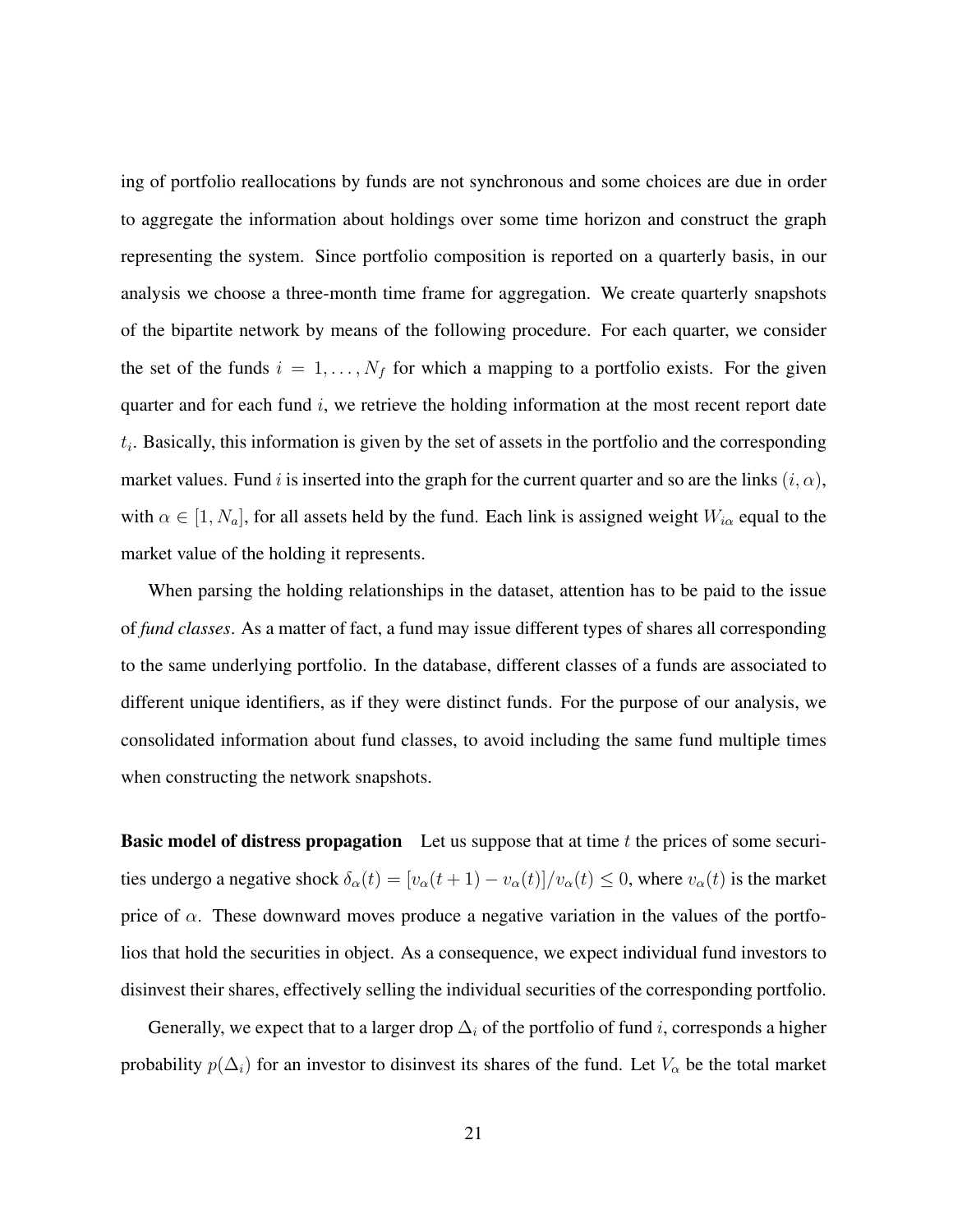ing of portfolio reallocations by funds are not synchronous and some choices are due in order to aggregate the information about holdings over some time horizon and construct the graph representing the system. Since portfolio composition is reported on a quarterly basis, in our analysis we choose a three-month time frame for aggregation. We create quarterly snapshots of the bipartite network by means of the following procedure. For each quarter, we consider the set of the funds  $i = 1, \ldots, N_f$  for which a mapping to a portfolio exists. For the given quarter and for each fund  $i$ , we retrieve the holding information at the most recent report date  $t_i$ . Basically, this information is given by the set of assets in the portfolio and the corresponding market values. Fund i is inserted into the graph for the current quarter and so are the links  $(i, \alpha)$ , with  $\alpha \in [1, N_a]$ , for all assets held by the fund. Each link is assigned weight  $W_{i\alpha}$  equal to the market value of the holding it represents.

When parsing the holding relationships in the dataset, attention has to be paid to the issue of *fund classes*. As a matter of fact, a fund may issue different types of shares all corresponding to the same underlying portfolio. In the database, different classes of a funds are associated to different unique identifiers, as if they were distinct funds. For the purpose of our analysis, we consolidated information about fund classes, to avoid including the same fund multiple times when constructing the network snapshots.

**Basic model of distress propagation** Let us suppose that at time  $t$  the prices of some securities undergo a negative shock  $\delta_{\alpha}(t) = [v_{\alpha}(t+1) - v_{\alpha}(t)]/v_{\alpha}(t) \le 0$ , where  $v_{\alpha}(t)$  is the market price of  $\alpha$ . These downward moves produce a negative variation in the values of the portfolios that hold the securities in object. As a consequence, we expect individual fund investors to disinvest their shares, effectively selling the individual securities of the corresponding portfolio.

Generally, we expect that to a larger drop  $\Delta_i$  of the portfolio of fund i, corresponds a higher probability  $p(\Delta_i)$  for an investor to disinvest its shares of the fund. Let  $V_\alpha$  be the total market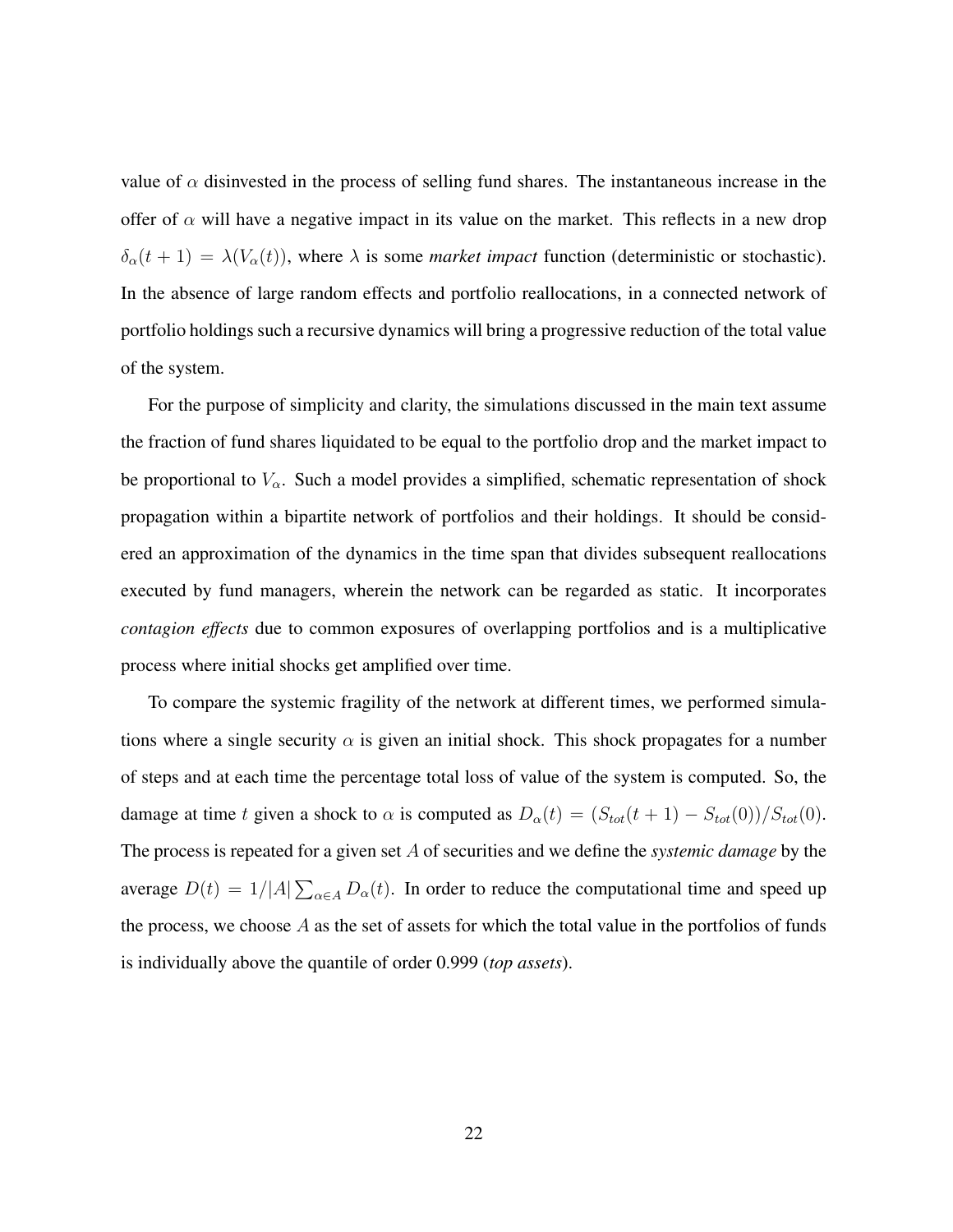value of  $\alpha$  disinvested in the process of selling fund shares. The instantaneous increase in the offer of  $\alpha$  will have a negative impact in its value on the market. This reflects in a new drop  $\delta_{\alpha}(t + 1) = \lambda(V_{\alpha}(t))$ , where  $\lambda$  is some *market impact* function (deterministic or stochastic). In the absence of large random effects and portfolio reallocations, in a connected network of portfolio holdings such a recursive dynamics will bring a progressive reduction of the total value of the system.

For the purpose of simplicity and clarity, the simulations discussed in the main text assume the fraction of fund shares liquidated to be equal to the portfolio drop and the market impact to be proportional to  $V_{\alpha}$ . Such a model provides a simplified, schematic representation of shock propagation within a bipartite network of portfolios and their holdings. It should be considered an approximation of the dynamics in the time span that divides subsequent reallocations executed by fund managers, wherein the network can be regarded as static. It incorporates *contagion effects* due to common exposures of overlapping portfolios and is a multiplicative process where initial shocks get amplified over time.

To compare the systemic fragility of the network at different times, we performed simulations where a single security  $\alpha$  is given an initial shock. This shock propagates for a number of steps and at each time the percentage total loss of value of the system is computed. So, the damage at time t given a shock to  $\alpha$  is computed as  $D_{\alpha}(t) = (S_{tot}(t + 1) - S_{tot}(0))/S_{tot}(0)$ . The process is repeated for a given set A of securities and we define the *systemic damage* by the average  $D(t) = 1/|A| \sum_{\alpha \in A} D_{\alpha}(t)$ . In order to reduce the computational time and speed up the process, we choose  $A$  as the set of assets for which the total value in the portfolios of funds is individually above the quantile of order 0.999 (*top assets*).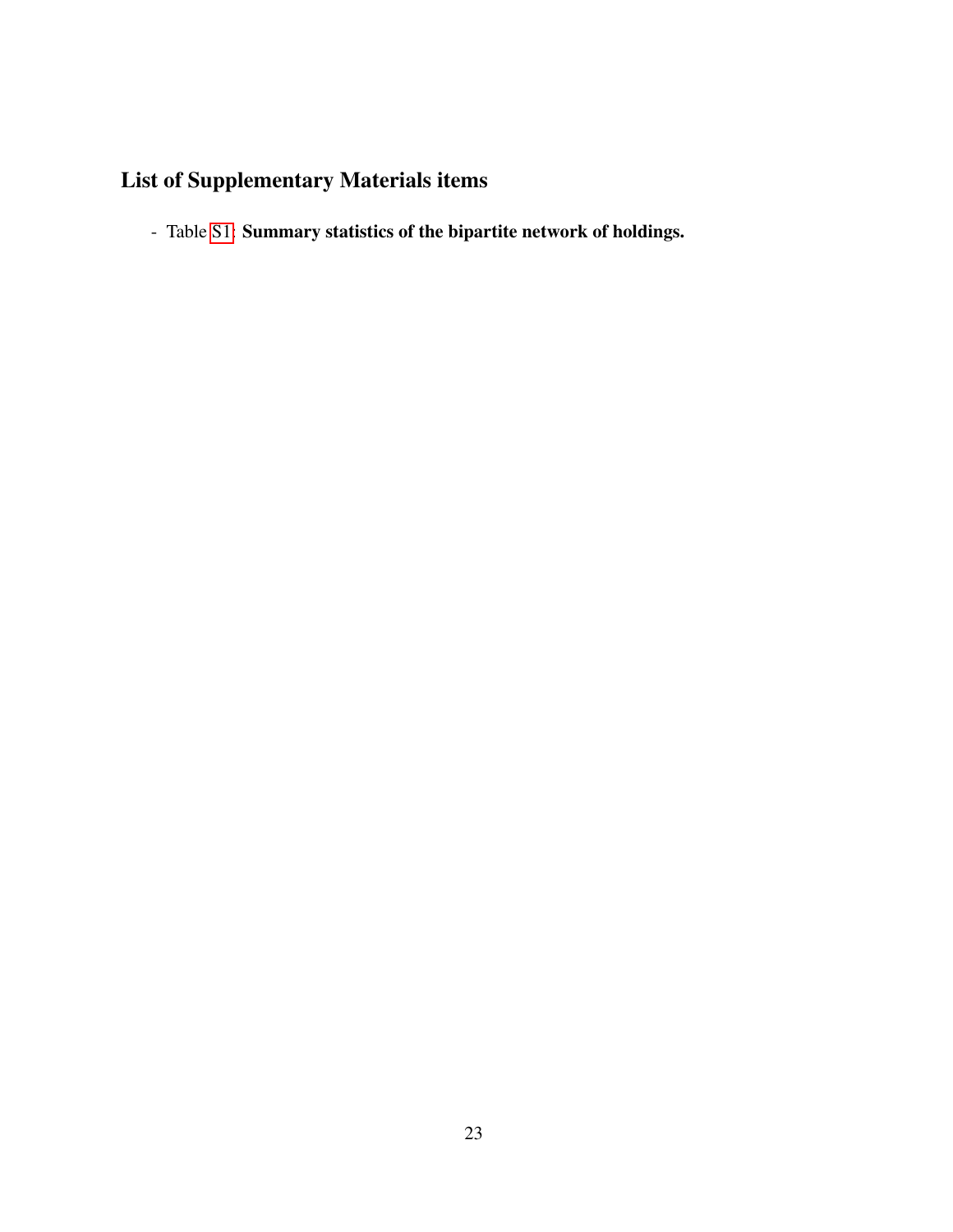## List of Supplementary Materials items

- Table [S1:](#page-26-0) Summary statistics of the bipartite network of holdings.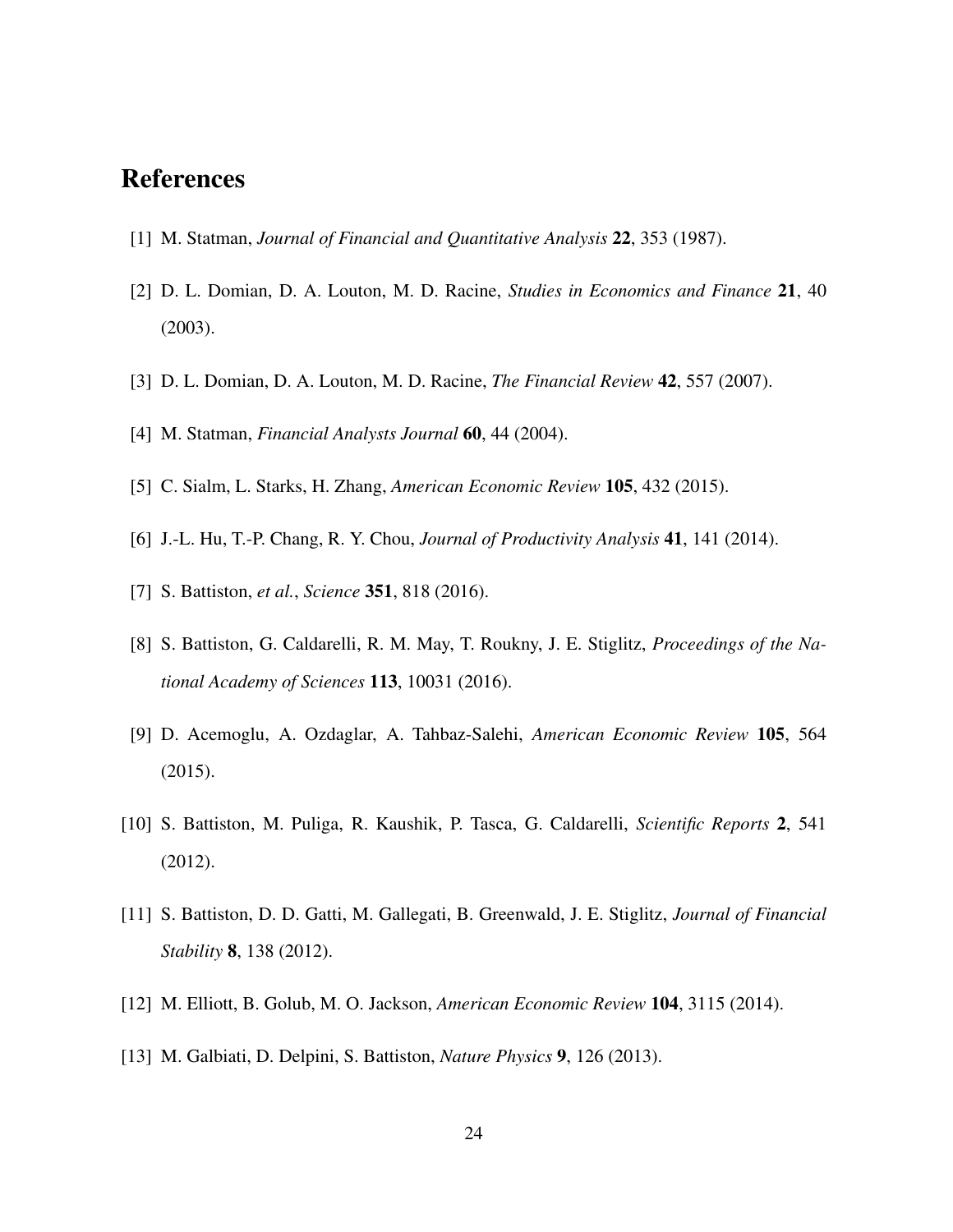### <span id="page-23-0"></span>References

- <span id="page-23-1"></span>[1] M. Statman, *Journal of Financial and Quantitative Analysis* 22, 353 (1987).
- [2] D. L. Domian, D. A. Louton, M. D. Racine, *Studies in Economics and Finance* 21, 40 (2003).
- <span id="page-23-3"></span><span id="page-23-2"></span>[3] D. L. Domian, D. A. Louton, M. D. Racine, *The Financial Review* 42, 557 (2007).
- <span id="page-23-4"></span>[4] M. Statman, *Financial Analysts Journal* 60, 44 (2004).
- <span id="page-23-5"></span>[5] C. Sialm, L. Starks, H. Zhang, *American Economic Review* 105, 432 (2015).
- <span id="page-23-6"></span>[6] J.-L. Hu, T.-P. Chang, R. Y. Chou, *Journal of Productivity Analysis* 41, 141 (2014).
- <span id="page-23-7"></span>[7] S. Battiston, *et al.*, *Science* 351, 818 (2016).
- [8] S. Battiston, G. Caldarelli, R. M. May, T. Roukny, J. E. Stiglitz, *Proceedings of the National Academy of Sciences* 113, 10031 (2016).
- <span id="page-23-8"></span>[9] D. Acemoglu, A. Ozdaglar, A. Tahbaz-Salehi, *American Economic Review* 105, 564 (2015).
- <span id="page-23-9"></span>[10] S. Battiston, M. Puliga, R. Kaushik, P. Tasca, G. Caldarelli, *Scientific Reports* 2, 541 (2012).
- <span id="page-23-10"></span>[11] S. Battiston, D. D. Gatti, M. Gallegati, B. Greenwald, J. E. Stiglitz, *Journal of Financial Stability* 8, 138 (2012).
- <span id="page-23-12"></span><span id="page-23-11"></span>[12] M. Elliott, B. Golub, M. O. Jackson, *American Economic Review* 104, 3115 (2014).
- [13] M. Galbiati, D. Delpini, S. Battiston, *Nature Physics* 9, 126 (2013).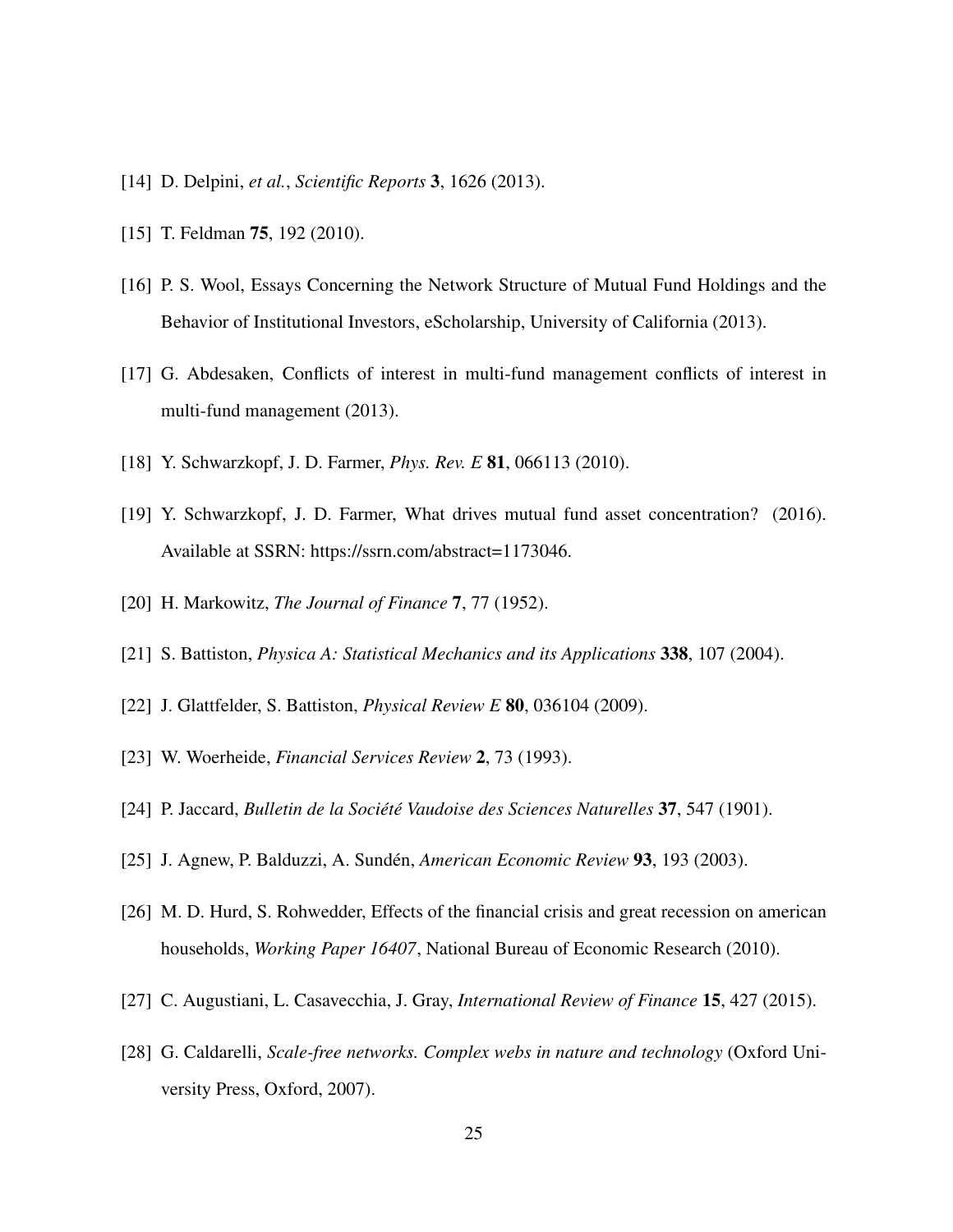- <span id="page-24-1"></span><span id="page-24-0"></span>[14] D. Delpini, *et al.*, *Scientific Reports* 3, 1626 (2013).
- <span id="page-24-2"></span>[15] T. Feldman **75**, 192 (2010).
- [16] P. S. Wool, Essays Concerning the Network Structure of Mutual Fund Holdings and the Behavior of Institutional Investors, eScholarship, University of California (2013).
- <span id="page-24-3"></span>[17] G. Abdesaken, Conflicts of interest in multi-fund management conflicts of interest in multi-fund management (2013).
- <span id="page-24-5"></span><span id="page-24-4"></span>[18] Y. Schwarzkopf, J. D. Farmer, *Phys. Rev. E* 81, 066113 (2010).
- [19] Y. Schwarzkopf, J. D. Farmer, What drives mutual fund asset concentration? (2016). Available at SSRN: https://ssrn.com/abstract=1173046.
- <span id="page-24-7"></span><span id="page-24-6"></span>[20] H. Markowitz, *The Journal of Finance* 7, 77 (1952).
- <span id="page-24-8"></span>[21] S. Battiston, *Physica A: Statistical Mechanics and its Applications* 338, 107 (2004).
- <span id="page-24-9"></span>[22] J. Glattfelder, S. Battiston, *Physical Review E* 80, 036104 (2009).
- <span id="page-24-10"></span>[23] W. Woerheide, *Financial Services Review* 2, 73 (1993).
- <span id="page-24-11"></span>[24] P. Jaccard, *Bulletin de la Societ´ e Vaudoise des Sciences Naturelles ´* 37, 547 (1901).
- <span id="page-24-12"></span>[25] J. Agnew, P. Balduzzi, A. Sunden, ´ *American Economic Review* 93, 193 (2003).
- [26] M. D. Hurd, S. Rohwedder, Effects of the financial crisis and great recession on american households, *Working Paper 16407*, National Bureau of Economic Research (2010).
- <span id="page-24-14"></span><span id="page-24-13"></span>[27] C. Augustiani, L. Casavecchia, J. Gray, *International Review of Finance* 15, 427 (2015).
- [28] G. Caldarelli, *Scale-free networks. Complex webs in nature and technology* (Oxford University Press, Oxford, 2007).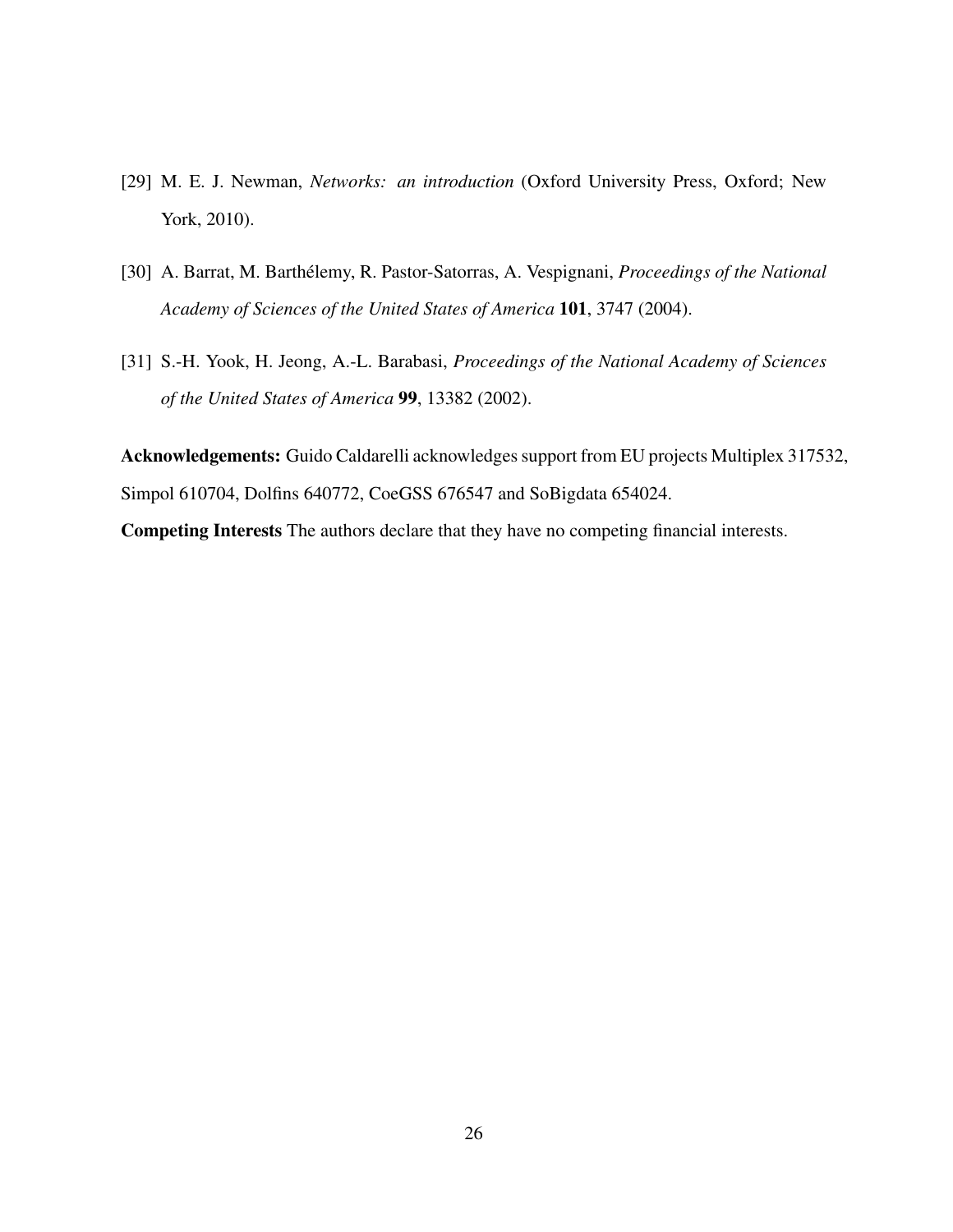- <span id="page-25-0"></span>[29] M. E. J. Newman, *Networks: an introduction* (Oxford University Press, Oxford; New York, 2010).
- <span id="page-25-1"></span>[30] A. Barrat, M. Barthelemy, R. Pastor-Satorras, A. Vespignani, ´ *Proceedings of the National Academy of Sciences of the United States of America* 101, 3747 (2004).
- <span id="page-25-2"></span>[31] S.-H. Yook, H. Jeong, A.-L. Barabasi, *Proceedings of the National Academy of Sciences of the United States of America* 99, 13382 (2002).

Acknowledgements: Guido Caldarelli acknowledges support from EU projects Multiplex 317532, Simpol 610704, Dolfins 640772, CoeGSS 676547 and SoBigdata 654024.

Competing Interests The authors declare that they have no competing financial interests.